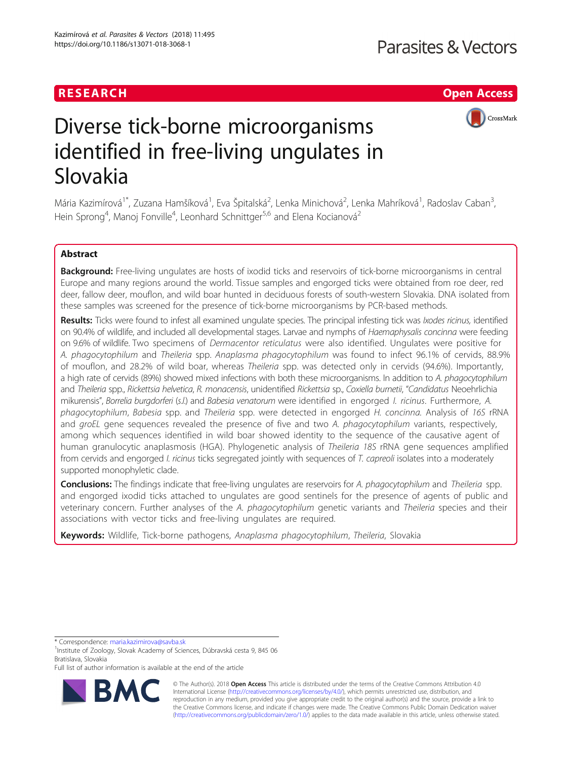# RESEARCH **RESEARCH CHANNEL EXECUTE THE EXECUTIVE OPEN Access**

CrossMark



Mária Kazimírová<sup>1\*</sup>, Zuzana Hamšíková<sup>1</sup>, Eva Špitalská<sup>2</sup>, Lenka Minichová<sup>2</sup>, Lenka Mahríková<sup>1</sup>, Radoslav Caban<sup>3</sup> , Hein Sprong<sup>4</sup>, Manoj Fonville<sup>4</sup>, Leonhard Schnittger<sup>5,6</sup> and Elena Kocianová<sup>2</sup>

# Abstract

Background: Free-living ungulates are hosts of ixodid ticks and reservoirs of tick-borne microorganisms in central Europe and many regions around the world. Tissue samples and engorged ticks were obtained from roe deer, red deer, fallow deer, mouflon, and wild boar hunted in deciduous forests of south-western Slovakia. DNA isolated from these samples was screened for the presence of tick-borne microorganisms by PCR-based methods.

Results: Ticks were found to infest all examined ungulate species. The principal infesting tick was *kodes ricinus*, identified on 90.4% of wildlife, and included all developmental stages. Larvae and nymphs of Haemaphysalis concinna were feeding on 9.6% of wildlife. Two specimens of Dermacentor reticulatus were also identified. Ungulates were positive for A. phagocytophilum and Theileria spp. Anaplasma phagocytophilum was found to infect 96.1% of cervids, 88.9% of mouflon, and 28.2% of wild boar, whereas Theileria spp. was detected only in cervids (94.6%). Importantly, a high rate of cervids (89%) showed mixed infections with both these microorganisms. In addition to A. phagocytophilum and Theileria spp., Rickettsia helvetica, R. monacensis, unidentified Rickettsia sp., Coxiella burnetii, "Candidatus Neoehrlichia mikurensis", Borrelia burgdorferi (s.l.) and Babesia venatorum were identified in engorged I. ricinus. Furthermore, A. phagocytophilum, Babesia spp. and Theileria spp. were detected in engorged H. concinna. Analysis of 16S rRNA and groEL gene sequences revealed the presence of five and two A. phagocytophilum variants, respectively, among which sequences identified in wild boar showed identity to the sequence of the causative agent of human granulocytic anaplasmosis (HGA). Phylogenetic analysis of Theileria 18S rRNA gene sequences amplified from cervids and engorged *I. ricinus* ticks segregated jointly with sequences of T. capreoli isolates into a moderately supported monophyletic clade.

**Conclusions:** The findings indicate that free-living ungulates are reservoirs for A. *phagocytophilum* and Theileria spp. and engorged ixodid ticks attached to ungulates are good sentinels for the presence of agents of public and veterinary concern. Further analyses of the A. phagocytophilum genetic variants and Theileria species and their associations with vector ticks and free-living ungulates are required.

Keywords: Wildlife, Tick-borne pathogens, Anaplasma phagocytophilum, Theileria, Slovakia

\* Correspondence: [maria.kazimirova@savba.sk](mailto:maria.kazimirova@savba.sk) <sup>1</sup>

<sup>1</sup> Institute of Zoology, Slovak Academy of Sciences, Dúbravská cesta 9, 845 06 Bratislava, Slovakia

Full list of author information is available at the end of the article



© The Author(s). 2018 Open Access This article is distributed under the terms of the Creative Commons Attribution 4.0 International License [\(http://creativecommons.org/licenses/by/4.0/](http://creativecommons.org/licenses/by/4.0/)), which permits unrestricted use, distribution, and reproduction in any medium, provided you give appropriate credit to the original author(s) and the source, provide a link to the Creative Commons license, and indicate if changes were made. The Creative Commons Public Domain Dedication waiver [\(http://creativecommons.org/publicdomain/zero/1.0/](http://creativecommons.org/publicdomain/zero/1.0/)) applies to the data made available in this article, unless otherwise stated.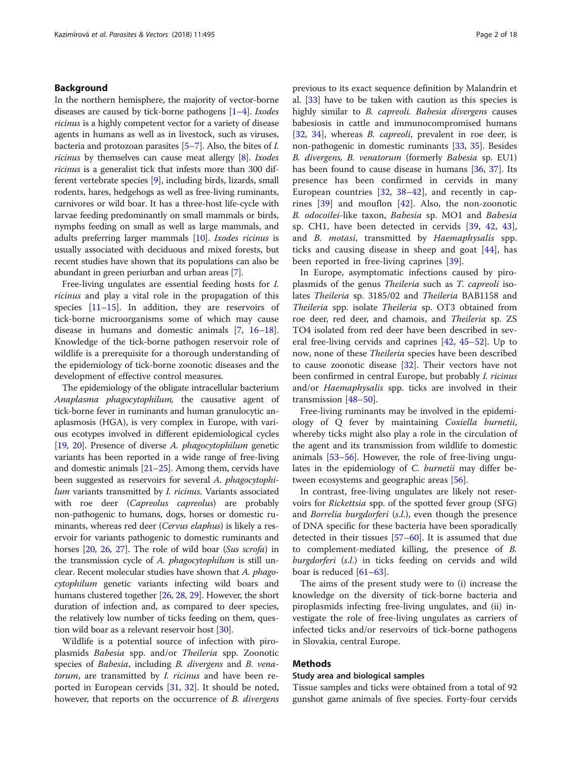## Background

In the northern hemisphere, the majority of vector-borne diseases are caused by tick-borne pathogens [[1](#page-14-0)–[4](#page-14-0)]. Ixodes ricinus is a highly competent vector for a variety of disease agents in humans as well as in livestock, such as viruses, bacteria and protozoan parasites [\[5](#page-14-0)–[7\]](#page-14-0). Also, the bites of I. ricinus by themselves can cause meat allergy [\[8](#page-14-0)]. Ixodes ricinus is a generalist tick that infests more than 300 different vertebrate species [\[9\]](#page-14-0), including birds, lizards, small rodents, hares, hedgehogs as well as free-living ruminants, carnivores or wild boar. It has a three-host life-cycle with larvae feeding predominantly on small mammals or birds, nymphs feeding on small as well as large mammals, and adults preferring larger mammals [[10\]](#page-14-0). Ixodes ricinus is usually associated with deciduous and mixed forests, but recent studies have shown that its populations can also be abundant in green periurban and urban areas [\[7](#page-14-0)].

Free-living ungulates are essential feeding hosts for I. ricinus and play a vital role in the propagation of this species  $[11-15]$  $[11-15]$  $[11-15]$  $[11-15]$  $[11-15]$ . In addition, they are reservoirs of tick-borne microorganisms some of which may cause disease in humans and domestic animals [[7,](#page-14-0) [16](#page-14-0)–[18](#page-14-0)]. Knowledge of the tick-borne pathogen reservoir role of wildlife is a prerequisite for a thorough understanding of the epidemiology of tick-borne zoonotic diseases and the development of effective control measures.

The epidemiology of the obligate intracellular bacterium Anaplasma phagocytophilum, the causative agent of tick-borne fever in ruminants and human granulocytic anaplasmosis (HGA), is very complex in Europe, with various ecotypes involved in different epidemiological cycles [[19](#page-14-0), [20](#page-15-0)]. Presence of diverse A. phagocytophilum genetic variants has been reported in a wide range of free-living and domestic animals [[21](#page-15-0)–[25\]](#page-15-0). Among them, cervids have been suggested as reservoirs for several A. phagocytophilum variants transmitted by *I. ricinus*. Variants associated with roe deer (Capreolus capreolus) are probably non-pathogenic to humans, dogs, horses or domestic ruminants, whereas red deer (Cervus elaphus) is likely a reservoir for variants pathogenic to domestic ruminants and horses [\[20,](#page-15-0) [26](#page-15-0), [27\]](#page-15-0). The role of wild boar (Sus scrofa) in the transmission cycle of A. phagocytophilum is still unclear. Recent molecular studies have shown that A. phagocytophilum genetic variants infecting wild boars and humans clustered together [[26](#page-15-0), [28,](#page-15-0) [29\]](#page-15-0). However, the short duration of infection and, as compared to deer species, the relatively low number of ticks feeding on them, ques-tion wild boar as a relevant reservoir host [\[30\]](#page-15-0).

Wildlife is a potential source of infection with piroplasmids Babesia spp. and/or Theileria spp. Zoonotic species of Babesia, including B. divergens and B. venatorum, are transmitted by *I. ricinus* and have been reported in European cervids [[31,](#page-15-0) [32](#page-15-0)]. It should be noted, however, that reports on the occurrence of *B. divergens*  previous to its exact sequence definition by Malandrin et al. [[33\]](#page-15-0) have to be taken with caution as this species is highly similar to B. capreoli. Babesia divergens causes babesiosis in cattle and immunocompromised humans [[32,](#page-15-0) [34\]](#page-15-0), whereas *B. capreoli*, prevalent in roe deer, is non-pathogenic in domestic ruminants [[33,](#page-15-0) [35\]](#page-15-0). Besides B. divergens, B. venatorum (formerly Babesia sp. EU1) has been found to cause disease in humans [[36,](#page-15-0) [37](#page-15-0)]. Its presence has been confirmed in cervids in many European countries [[32](#page-15-0), [38](#page-15-0)–[42](#page-15-0)], and recently in caprines  $[39]$  $[39]$  and mouflon  $[42]$  $[42]$  $[42]$ . Also, the non-zoonotic B. odocoilei-like taxon, Babesia sp. MO1 and Babesia sp. CH1, have been detected in cervids [\[39](#page-15-0), [42,](#page-15-0) [43](#page-15-0)], and B. motasi, transmitted by Haemaphysalis spp. ticks and causing disease in sheep and goat [[44\]](#page-15-0), has been reported in free-living caprines [[39\]](#page-15-0).

In Europe, asymptomatic infections caused by piroplasmids of the genus Theileria such as T. capreoli isolates Theileria sp. 3185/02 and Theileria BAB1158 and Theileria spp. isolate Theileria sp. OT3 obtained from roe deer, red deer, and chamois, and Theileria sp. ZS TO4 isolated from red deer have been described in several free-living cervids and caprines [[42](#page-15-0), [45](#page-15-0)–[52](#page-15-0)]. Up to now, none of these *Theileria* species have been described to cause zoonotic disease  $[32]$  $[32]$ . Their vectors have not been confirmed in central Europe, but probably I. ricinus and/or Haemaphysalis spp. ticks are involved in their transmission [[48](#page-15-0)–[50](#page-15-0)].

Free-living ruminants may be involved in the epidemiology of Q fever by maintaining Coxiella burnetii, whereby ticks might also play a role in the circulation of the agent and its transmission from wildlife to domestic animals [\[53](#page-15-0)–[56\]](#page-15-0). However, the role of free-living ungulates in the epidemiology of C. burnetii may differ be-tween ecosystems and geographic areas [[56](#page-15-0)].

In contrast, free-living ungulates are likely not reservoirs for Rickettsia spp. of the spotted fever group (SFG) and Borrelia burgdorferi (s.l.), even though the presence of DNA specific for these bacteria have been sporadically detected in their tissues [[57](#page-15-0)–[60](#page-15-0)]. It is assumed that due to complement-mediated killing, the presence of B. burgdorferi (s.l.) in ticks feeding on cervids and wild boar is reduced [[61](#page-15-0)–[63\]](#page-15-0).

The aims of the present study were to (i) increase the knowledge on the diversity of tick-borne bacteria and piroplasmids infecting free-living ungulates, and (ii) investigate the role of free-living ungulates as carriers of infected ticks and/or reservoirs of tick-borne pathogens in Slovakia, central Europe.

### Methods

### Study area and biological samples

Tissue samples and ticks were obtained from a total of 92 gunshot game animals of five species. Forty-four cervids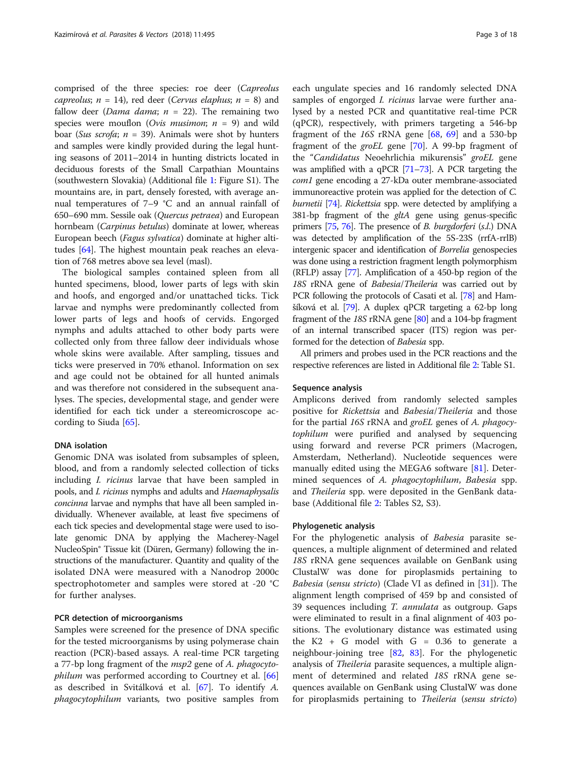comprised of the three species: roe deer (Capreolus capreolus;  $n = 14$ ), red deer (Cervus elaphus;  $n = 8$ ) and fallow deer (*Dama dama*;  $n = 22$ ). The remaining two species were mouflon (*Ovis musimon*;  $n = 9$ ) and wild boar (Sus scrofa;  $n = 39$ ). Animals were shot by hunters and samples were kindly provided during the legal hunting seasons of 2011–2014 in hunting districts located in deciduous forests of the Small Carpathian Mountains (southwestern Slovakia) (Additional file [1](#page-14-0): Figure S1). The mountains are, in part, densely forested, with average annual temperatures of 7–9 °C and an annual rainfall of 650–690 mm. Sessile oak (Quercus petraea) and European hornbeam (Carpinus betulus) dominate at lower, whereas European beech (Fagus sylvatica) dominate at higher altitudes [\[64\]](#page-15-0). The highest mountain peak reaches an elevation of 768 metres above sea level (masl).

The biological samples contained spleen from all hunted specimens, blood, lower parts of legs with skin and hoofs, and engorged and/or unattached ticks. Tick larvae and nymphs were predominantly collected from lower parts of legs and hoofs of cervids. Engorged nymphs and adults attached to other body parts were collected only from three fallow deer individuals whose whole skins were available. After sampling, tissues and ticks were preserved in 70% ethanol. Information on sex and age could not be obtained for all hunted animals and was therefore not considered in the subsequent analyses. The species, developmental stage, and gender were identified for each tick under a stereomicroscope according to Siuda [[65](#page-15-0)].

### DNA isolation

Genomic DNA was isolated from subsamples of spleen, blood, and from a randomly selected collection of ticks including I. ricinus larvae that have been sampled in pools, and I. ricinus nymphs and adults and Haemaphysalis concinna larvae and nymphs that have all been sampled individually. Whenever available, at least five specimens of each tick species and developmental stage were used to isolate genomic DNA by applying the Macherey-Nagel NucleoSpin® Tissue kit (Düren, Germany) following the instructions of the manufacturer. Quantity and quality of the isolated DNA were measured with a Nanodrop 2000c spectrophotometer and samples were stored at -20 °C for further analyses.

### PCR detection of microorganisms

Samples were screened for the presence of DNA specific for the tested microorganisms by using polymerase chain reaction (PCR)-based assays. A real-time PCR targeting a 77-bp long fragment of the msp2 gene of A. phagocyto-philum was performed according to Courtney et al. [[66](#page-15-0)] as described in Svitálková et al. [\[67\]](#page-15-0). To identify A. phagocytophilum variants, two positive samples from

each ungulate species and 16 randomly selected DNA samples of engorged *I. ricinus* larvae were further analysed by a nested PCR and quantitative real-time PCR (qPCR), respectively, with primers targeting a 546-bp fragment of the 16S rRNA gene [[68](#page-16-0), [69\]](#page-16-0) and a 530-bp fragment of the *groEL* gene [\[70\]](#page-16-0). A 99-bp fragment of the "Candidatus Neoehrlichia mikurensis" groEL gene was amplified with a qPCR [\[71](#page-16-0)–[73\]](#page-16-0). A PCR targeting the com1 gene encoding a 27-kDa outer membrane-associated immunoreactive protein was applied for the detection of C. burnetii [[74](#page-16-0)]. Rickettsia spp. were detected by amplifying a 381-bp fragment of the gltA gene using genus-specific primers [\[75,](#page-16-0) [76](#page-16-0)]. The presence of *B. burgdorferi* (s.l.) DNA was detected by amplification of the 5S-23S (rrfA-rrlB) intergenic spacer and identification of Borrelia genospecies was done using a restriction fragment length polymorphism (RFLP) assay [\[77](#page-16-0)]. Amplification of a 450-bp region of the 18S rRNA gene of Babesia/Theileria was carried out by PCR following the protocols of Casati et al. [\[78\]](#page-16-0) and Hamšíková et al. [\[79\]](#page-16-0). A duplex qPCR targeting a 62-bp long fragment of the 18S rRNA gene [\[80\]](#page-16-0) and a 104-bp fragment of an internal transcribed spacer (ITS) region was performed for the detection of Babesia spp.

All primers and probes used in the PCR reactions and the respective references are listed in Additional file [2:](#page-14-0) Table S1.

### Sequence analysis

Amplicons derived from randomly selected samples positive for Rickettsia and Babesia/Theileria and those for the partial 16S rRNA and groEL genes of A. phagocytophilum were purified and analysed by sequencing using forward and reverse PCR primers (Macrogen, Amsterdam, Netherland). Nucleotide sequences were manually edited using the MEGA6 software [[81\]](#page-16-0). Determined sequences of A. phagocytophilum, Babesia spp. and Theileria spp. were deposited in the GenBank database (Additional file [2:](#page-14-0) Tables S2, S3).

### Phylogenetic analysis

For the phylogenetic analysis of Babesia parasite sequences, a multiple alignment of determined and related 18S rRNA gene sequences available on GenBank using ClustalW was done for piroplasmids pertaining to *Babesia (sensu stricto)* (Clade VI as defined in [[31\]](#page-15-0)). The alignment length comprised of 459 bp and consisted of 39 sequences including T. annulata as outgroup. Gaps were eliminated to result in a final alignment of 403 positions. The evolutionary distance was estimated using the  $K2 + G$  model with  $G = 0.36$  to generate a neighbour-joining tree [[82,](#page-16-0) [83\]](#page-16-0). For the phylogenetic analysis of *Theileria* parasite sequences, a multiple alignment of determined and related 18S rRNA gene sequences available on GenBank using ClustalW was done for piroplasmids pertaining to Theileria (sensu stricto)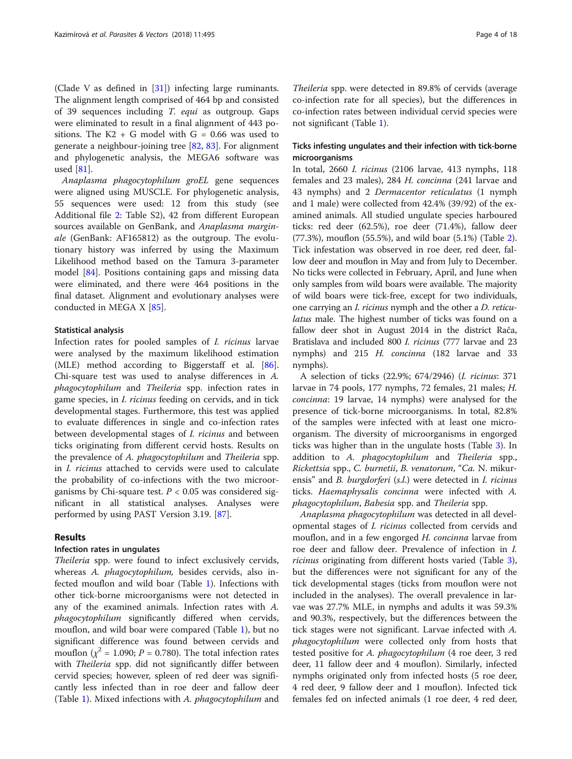(Clade V as defined in [\[31\]](#page-15-0)) infecting large ruminants. The alignment length comprised of 464 bp and consisted of 39 sequences including T. equi as outgroup. Gaps were eliminated to result in a final alignment of 443 positions. The  $K2 + G$  model with  $G = 0.66$  was used to generate a neighbour-joining tree [[82,](#page-16-0) [83\]](#page-16-0). For alignment and phylogenetic analysis, the MEGA6 software was used [[81](#page-16-0)].

Anaplasma phagocytophilum groEL gene sequences were aligned using MUSCLE. For phylogenetic analysis, 55 sequences were used: 12 from this study (see Additional file [2:](#page-14-0) Table S2), 42 from different European sources available on GenBank, and Anaplasma marginale (GenBank: AF165812) as the outgroup. The evolutionary history was inferred by using the Maximum Likelihood method based on the Tamura 3-parameter model [\[84](#page-16-0)]. Positions containing gaps and missing data were eliminated, and there were 464 positions in the final dataset. Alignment and evolutionary analyses were conducted in MEGA X [[85\]](#page-16-0).

### Statistical analysis

Infection rates for pooled samples of I. ricinus larvae were analysed by the maximum likelihood estimation (MLE) method according to Biggerstaff et al. [\[86](#page-16-0)]. Chi-square test was used to analyse differences in A. phagocytophilum and Theileria spp. infection rates in game species, in I. ricinus feeding on cervids, and in tick developmental stages. Furthermore, this test was applied to evaluate differences in single and co-infection rates between developmental stages of I. ricinus and between ticks originating from different cervid hosts. Results on the prevalence of A. phagocytophilum and Theileria spp. in I. ricinus attached to cervids were used to calculate the probability of co-infections with the two microorganisms by Chi-square test.  $P < 0.05$  was considered significant in all statistical analyses. Analyses were performed by using PAST Version 3.19. [\[87](#page-16-0)].

### Results

# Infection rates in ungulates

Theileria spp. were found to infect exclusively cervids, whereas A. *phagocytophilum*, besides cervids, also infected mouflon and wild boar (Table [1](#page-4-0)). Infections with other tick-borne microorganisms were not detected in any of the examined animals. Infection rates with A. phagocytophilum significantly differed when cervids, mouflon, and wild boar were compared (Table [1](#page-4-0)), but no significant difference was found between cervids and mouflon ( $\chi^2$  = 1.090; P = 0.780). The total infection rates with *Theileria* spp. did not significantly differ between cervid species; however, spleen of red deer was significantly less infected than in roe deer and fallow deer (Table [1\)](#page-4-0). Mixed infections with A. phagocytophilum and

Theileria spp. were detected in 89.8% of cervids (average co-infection rate for all species), but the differences in co-infection rates between individual cervid species were not significant (Table [1](#page-4-0)).

# Ticks infesting ungulates and their infection with tick-borne microorganisms

In total, 2660 I. ricinus (2106 larvae, 413 nymphs, 118 females and 23 males), 284 H. concinna (241 larvae and 43 nymphs) and 2 Dermacentor reticulatus (1 nymph and 1 male) were collected from 42.4% (39/92) of the examined animals. All studied ungulate species harboured ticks: red deer (62.5%), roe deer (71.4%), fallow deer (77.3%), mouflon (55.5%), and wild boar (5.1%) (Table [2](#page-4-0)). Tick infestation was observed in roe deer, red deer, fallow deer and mouflon in May and from July to December. No ticks were collected in February, April, and June when only samples from wild boars were available. The majority of wild boars were tick-free, except for two individuals, one carrying an I. ricinus nymph and the other a D. reticulatus male. The highest number of ticks was found on a fallow deer shot in August 2014 in the district Rača, Bratislava and included 800 *I. ricinus* (777 larvae and 23 nymphs) and 215 H. concinna (182 larvae and 33 nymphs).

A selection of ticks (22.9%; 674/2946) (I. ricinus: 371 larvae in 74 pools, 177 nymphs, 72 females, 21 males; H. concinna: 19 larvae, 14 nymphs) were analysed for the presence of tick-borne microorganisms. In total, 82.8% of the samples were infected with at least one microorganism. The diversity of microorganisms in engorged ticks was higher than in the ungulate hosts (Table [3](#page-5-0)). In addition to A. phagocytophilum and Theileria spp., Rickettsia spp., C. burnetii, B. venatorum, "Ca. N. mikurensis" and *B. burgdorferi* (s.l.) were detected in *I. ricinus* ticks. Haemaphysalis concinna were infected with A. phagocytophilum, Babesia spp. and Theileria spp.

Anaplasma phagocytophilum was detected in all developmental stages of I. ricinus collected from cervids and mouflon, and in a few engorged H. concinna larvae from roe deer and fallow deer. Prevalence of infection in I. ricinus originating from different hosts varied (Table [3](#page-5-0)), but the differences were not significant for any of the tick developmental stages (ticks from mouflon were not included in the analyses). The overall prevalence in larvae was 27.7% MLE, in nymphs and adults it was 59.3% and 90.3%, respectively, but the differences between the tick stages were not significant. Larvae infected with A. phagocytophilum were collected only from hosts that tested positive for A. phagocytophilum (4 roe deer, 3 red deer, 11 fallow deer and 4 mouflon). Similarly, infected nymphs originated only from infected hosts (5 roe deer, 4 red deer, 9 fallow deer and 1 mouflon). Infected tick females fed on infected animals (1 roe deer, 4 red deer,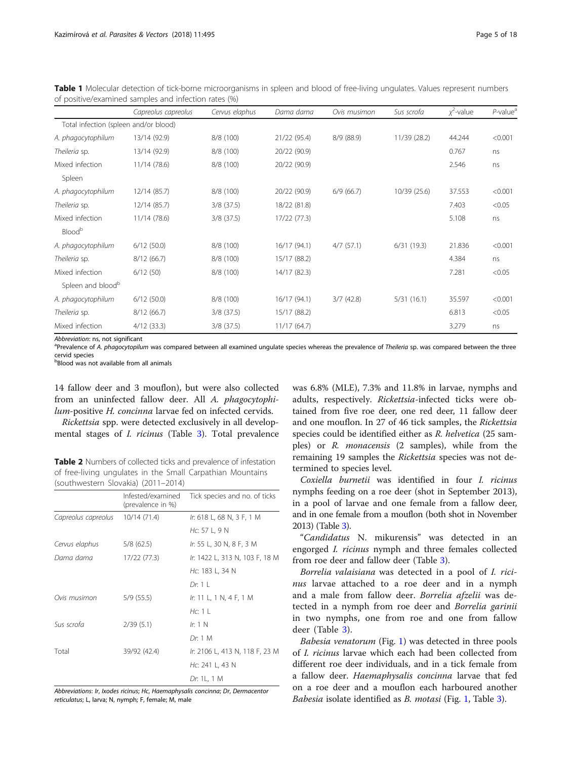|                                       | Capreolus capreolus | Cervus elaphus | Dama dama    | Ovis musimon | Sus scrofa   | $x^2$ -value | $P$ -value <sup><math>\bar{e}</math></sup> |
|---------------------------------------|---------------------|----------------|--------------|--------------|--------------|--------------|--------------------------------------------|
| Total infection (spleen and/or blood) |                     |                |              |              |              |              |                                            |
| A. phagocytophilum                    | 13/14 (92.9)        | 8/8 (100)      | 21/22 (95.4) | 8/9(88.9)    | 11/39 (28.2) | 44.244       | < 0.001                                    |
| Theileria sp.                         | 13/14 (92.9)        | 8/8 (100)      | 20/22 (90.9) |              |              | 0.767        | ns                                         |
| Mixed infection                       | 11/14(78.6)         | 8/8 (100)      | 20/22 (90.9) |              |              | 2.546        | ns                                         |
| Spleen                                |                     |                |              |              |              |              |                                            |
| A. phagocytophilum                    | 12/14 (85.7)        | 8/8 (100)      | 20/22 (90.9) | 6/9(66.7)    | 10/39 (25.6) | 37.553       | < 0.001                                    |
| Theileria sp.                         | 12/14(85.7)         | $3/8$ (37.5)   | 18/22 (81.8) |              |              | 7.403        | < 0.05                                     |
| Mixed infection                       | 11/14(78.6)         | $3/8$ (37.5)   | 17/22 (77.3) |              |              | 5.108        | ns                                         |
| <b>Blood</b> b                        |                     |                |              |              |              |              |                                            |
| A. phagocytophilum                    | 6/12(50.0)          | 8/8 (100)      | 16/17 (94.1) | 4/7(57.1)    | 6/31(19.3)   | 21.836       | < 0.001                                    |
| Theileria sp.                         | 8/12(66.7)          | 8/8 (100)      | 15/17 (88.2) |              |              | 4.384        | ns                                         |
| Mixed infection                       | 6/12(50)            | 8/8 (100)      | 14/17 (82.3) |              |              | 7.281        | < 0.05                                     |
| Spleen and blood <sup>b</sup>         |                     |                |              |              |              |              |                                            |
| A. phagocytophilum                    | 6/12(50.0)          | 8/8 (100)      | 16/17 (94.1) | 3/7(42.8)    | 5/31(16.1)   | 35.597       | < 0.001                                    |
| Theileria sp.                         | 8/12(66.7)          | $3/8$ (37.5)   | 15/17 (88.2) |              |              | 6.813        | < 0.05                                     |
| Mixed infection                       | $4/12$ (33.3)       | $3/8$ (37.5)   | 11/17(64.7)  |              |              | 3.279        | ns                                         |

<span id="page-4-0"></span>Table 1 Molecular detection of tick-borne microorganisms in spleen and blood of free-living ungulates. Values represent numbers of positive/examined samples and infection rates (%)

Abbreviation: ns, not significant

<sup>a</sup>Prevalence of A. phagocytopilum was compared between all examined ungulate species whereas the prevalence of Theileria sp. was compared between the three cervid species

b Blood was not available from all animals

14 fallow deer and 3 mouflon), but were also collected from an uninfected fallow deer. All A. phagocytophilum-positive H. concinna larvae fed on infected cervids.

Rickettsia spp. were detected exclusively in all developmental stages of I. ricinus (Table [3](#page-5-0)). Total prevalence

Table 2 Numbers of collected ticks and prevalence of infestation of free-living ungulates in the Small Carpathian Mountains (southwestern Slovakia) (2011–2014)

|                     | Infested/examined<br>(prevalence in %) | Tick species and no. of ticks     |
|---------------------|----------------------------------------|-----------------------------------|
| Capreolus capreolus | 10/14 (71.4)                           | <i>lr</i> : 618 L, 68 N, 3 F, 1 M |
|                     |                                        | Hc: 57 L, 9 N                     |
| Cervus elaphus      | 5/8(62.5)                              | Ir: 55 L, 30 N, 8 F, 3 M          |
| Dama dama           | 17/22 (77.3)                           | Ir: 1422 L, 313 N, 103 F, 18 M    |
|                     |                                        | Hc: 183 L, 34 N                   |
|                     |                                        | $Dr: 1 \perp$                     |
| Ovis musimon        | 5/9(55.5)                              | <i>lr</i> : 11 L, 1 N, 4 F, 1 M   |
|                     |                                        | Hc:1                              |
| Sus scrofa          | 2/39(5.1)                              | Ir: $1 N$                         |
|                     |                                        | Dr. 1 M                           |
| Total               | 39/92 (42.4)                           | Ir: 2106 L, 413 N, 118 F, 23 M    |
|                     |                                        | <i>Hc</i> : 241 L, 43 N           |
|                     |                                        | Dr. 1L, 1 M                       |

Abbreviations: Ir, Ixodes ricinus; Hc, Haemaphysalis concinna; Dr, Dermacentor reticulatus; L, larva; N, nymph; F, female; M, male

was 6.8% (MLE), 7.3% and 11.8% in larvae, nymphs and adults, respectively. Rickettsia-infected ticks were obtained from five roe deer, one red deer, 11 fallow deer and one mouflon. In 27 of 46 tick samples, the Rickettsia species could be identified either as R. helvetica (25 samples) or R. monacensis (2 samples), while from the remaining 19 samples the Rickettsia species was not determined to species level.

Coxiella burnetii was identified in four I. ricinus nymphs feeding on a roe deer (shot in September 2013), in a pool of larvae and one female from a fallow deer, and in one female from a mouflon (both shot in November 2013) (Table [3\)](#page-5-0).

"Candidatus N. mikurensis" was detected in an engorged I. ricinus nymph and three females collected from roe deer and fallow deer (Table [3](#page-5-0)).

Borrelia valaisiana was detected in a pool of I. ricinus larvae attached to a roe deer and in a nymph and a male from fallow deer. Borrelia afzelii was detected in a nymph from roe deer and Borrelia garinii in two nymphs, one from roe and one from fallow deer (Table [3\)](#page-5-0).

Babesia venatorum (Fig. [1](#page-7-0)) was detected in three pools of I. ricinus larvae which each had been collected from different roe deer individuals, and in a tick female from a fallow deer. Haemaphysalis concinna larvae that fed on a roe deer and a mouflon each harboured another Babesia isolate identified as B. motasi (Fig. [1,](#page-7-0) Table [3](#page-5-0)).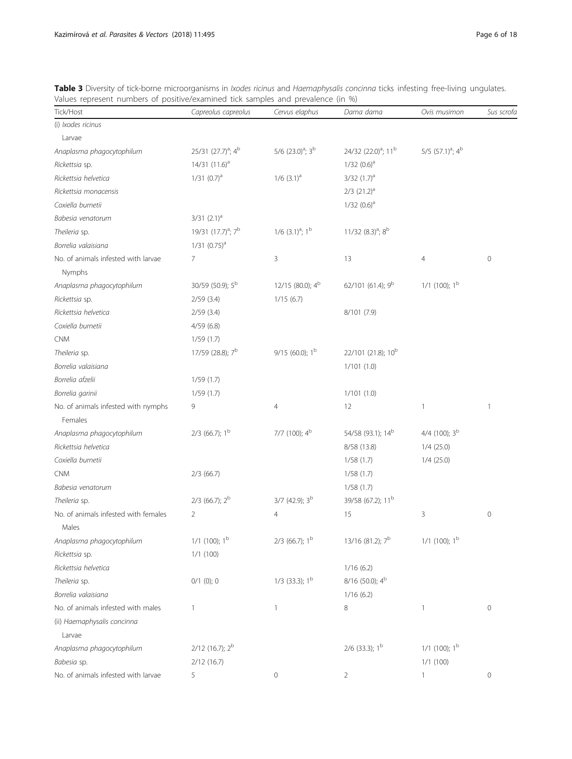| Tick/Host                                     | Capreolus capreolus                        | Cervus elaphus                   | Dama dama                                   | Ovis musimon                    | Sus scrofc          |
|-----------------------------------------------|--------------------------------------------|----------------------------------|---------------------------------------------|---------------------------------|---------------------|
| (i) Ixodes ricinus                            |                                            |                                  |                                             |                                 |                     |
| Larvae                                        |                                            |                                  |                                             |                                 |                     |
| Anaplasma phagocytophilum                     | 25/31 $(27.7)^a$ ; 4 <sup>b</sup>          | 5/6 $(23.0)^a$ ; 3 <sup>b</sup>  | 24/32 (22.0) <sup>a</sup> ; 11 <sup>b</sup> | 5/5 $(57.1)^a$ ; 4 <sup>b</sup> |                     |
| Rickettsia sp.                                | $14/31$ $(11.6)^a$                         |                                  | $1/32$ $(0.6)^a$                            |                                 |                     |
| Rickettsia helvetica                          | $1/31$ $(0.7)^a$                           | $1/6$ $(3.1)^a$                  | $3/32$ $(1.7)^a$                            |                                 |                     |
| Rickettsia monacensis                         |                                            |                                  | $2/3$ $(21.2)^a$                            |                                 |                     |
| Coxiella burnetii                             |                                            |                                  | $1/32$ $(0.6)^a$                            |                                 |                     |
| Babesia venatorum                             | $3/31$ $(2.1)^a$                           |                                  |                                             |                                 |                     |
| Theileria sp.                                 | 19/31 (17.7) <sup>a</sup> ; 7 <sup>b</sup> | $1/6$ $(3.1)^a$ ; 1 <sup>b</sup> | 11/32 $(8.3)^a$ ; 8 <sup>b</sup>            |                                 |                     |
| Borrelia valaisiana                           | $1/31$ $(0.75)^a$                          |                                  |                                             |                                 |                     |
| No. of animals infested with larvae<br>Nymphs | 7                                          | 3                                | 13                                          | $\overline{4}$                  | $\mathsf{O}\xspace$ |
| Anaplasma phagocytophilum                     | 30/59 (50.9); 5 <sup>b</sup>               | 12/15 (80.0); 4 <sup>b</sup>     | 62/101 (61.4); 9 <sup>b</sup>               | $1/1$ (100); 1 <sup>b</sup>     |                     |
| Rickettsia sp.                                | 2/59(3.4)                                  | 1/15(6.7)                        |                                             |                                 |                     |
| Rickettsia helvetica                          | 2/59(3.4)                                  |                                  | 8/101 (7.9)                                 |                                 |                     |
| Coxiella burnetii                             | 4/59(6.8)                                  |                                  |                                             |                                 |                     |
| <b>CNM</b>                                    | 1/59(1.7)                                  |                                  |                                             |                                 |                     |
| Theileria sp.                                 | 17/59 (28.8); 7 <sup>b</sup>               | $9/15$ (60.0); 1 <sup>b</sup>    | 22/101 (21.8); 10 <sup>b</sup>              |                                 |                     |
| Borrelia valaisiana                           |                                            |                                  | 1/101(1.0)                                  |                                 |                     |
| Borrelia afzelii                              | 1/59(1.7)                                  |                                  |                                             |                                 |                     |
| Borrelia garinii                              | 1/59(1.7)                                  |                                  | 1/101(1.0)                                  |                                 |                     |
| No. of animals infested with nymphs           | 9                                          | 4                                | 12                                          | $\mathbf{1}$                    | $\mathbf{1}$        |
| Females                                       |                                            |                                  |                                             |                                 |                     |
| Anaplasma phagocytophilum                     | $2/3$ (66.7); 1 <sup>b</sup>               | 7/7 (100); $4^{\rm b}$           | 54/58 (93.1); 14 <sup>b</sup>               | 4/4 (100); $3^b$                |                     |
| Rickettsia helvetica                          |                                            |                                  | 8/58 (13.8)                                 | 1/4(25.0)                       |                     |
| Coxiella burnetii                             |                                            |                                  | 1/58(1.7)                                   | $1/4$ (25.0)                    |                     |
| <b>CNM</b>                                    | 2/3(66.7)                                  |                                  | 1/58(1.7)                                   |                                 |                     |
| Babesia venatorum                             |                                            |                                  | 1/58(1.7)                                   |                                 |                     |
| Theileria sp.                                 | $2/3$ (66.7); $2^b$                        | $3/7$ (42.9); $3^b$              | 39/58 (67.2); 11 <sup>b</sup>               |                                 |                     |
| No. of animals infested with females          | $\overline{2}$                             | 4                                | 15                                          | 3                               | $\mathbf 0$         |
| Males                                         |                                            |                                  |                                             |                                 |                     |
| Anaplasma phagocytophilum                     | $1/1$ (100); 1 <sup>b</sup>                | $2/3$ (66.7); 1 <sup>b</sup>     | 13/16 (81.2); 7 <sup>b</sup>                | $1/1$ (100); 1 <sup>b</sup>     |                     |
| Rickettsia sp.                                | 1/1(100)                                   |                                  |                                             |                                 |                     |
| Rickettsia helvetica                          |                                            |                                  | 1/16(6.2)                                   |                                 |                     |
| Theileria sp.                                 | $0/1$ (0); 0                               | $1/3$ (33.3); $1b$               | 8/16 (50.0); 4 <sup>b</sup>                 |                                 |                     |
| Borrelia valaisiana                           |                                            |                                  | 1/16(6.2)                                   |                                 |                     |
| No. of animals infested with males            | 1                                          | $\mathbf{1}$                     | 8                                           | $\mathbf{1}$                    | 0                   |
| (ii) Haemaphysalis concinna                   |                                            |                                  |                                             |                                 |                     |
| Larvae                                        |                                            |                                  |                                             |                                 |                     |
| Anaplasma phagocytophilum                     | 2/12 (16.7); 2 <sup>b</sup>                |                                  | $2/6$ (33.3); 1 <sup>b</sup>                | $1/1$ (100); 1 <sup>b</sup>     |                     |
| Babesia sp.                                   | 2/12(16.7)                                 |                                  |                                             | 1/1(100)                        |                     |
| No. of animals infested with larvae           | 5                                          | 0                                | 2                                           | 1.                              | 0                   |

<span id="page-5-0"></span>Table 3 Diversity of tick-borne microorganisms in *Ixodes ricinus* and Haemaphysalis concinna ticks infesting free-living ungulates. Values represent numbers of positive/examined tick samples and prevalence (in %)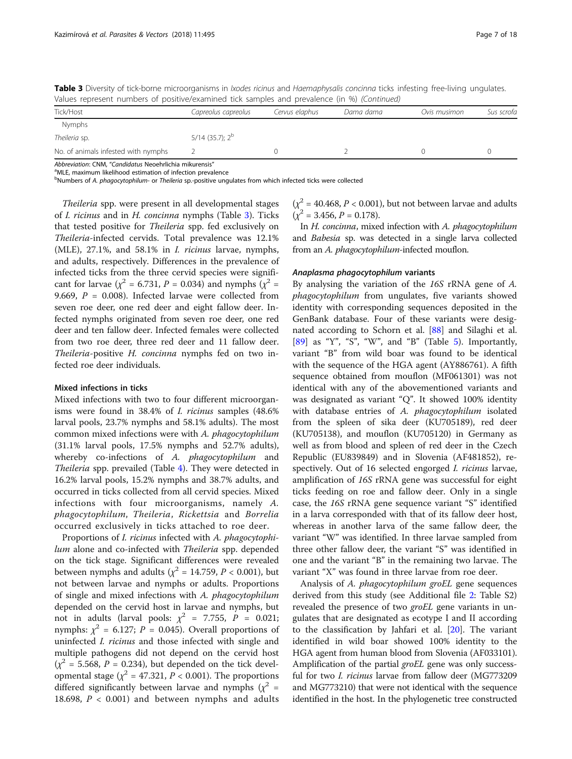| values represent numbers or positive/examined tien samples and prevaience (in 70) (commidea) |                      |                |           |              |            |  |
|----------------------------------------------------------------------------------------------|----------------------|----------------|-----------|--------------|------------|--|
| Tick/Host                                                                                    | Capreolus capreolus  | Cervus elaphus | Dama dama | Ovis musimon | Sus scrofa |  |
| Nymphs                                                                                       |                      |                |           |              |            |  |
| Theileria sp.                                                                                | $5/14$ (35.7): $2^b$ |                |           |              |            |  |
| No. of animals infested with nymphs                                                          |                      |                |           |              |            |  |

Table 3 Diversity of tick-borne microorganisms in *Ixodes ricinus* and Haemaphysalis concinna ticks infesting free-living ungulates. Values represent numbers of positive/examined tick samples and prevalence (in %) (Continued)

Abbreviation: CNM, "Candidatus Neoehrlichia mikurensis"

<sup>a</sup>MLE, maximum likelihood estimation of infection prevalence

**bNumbers of A. phagocytophilum- or Theileria sp.-positive ungulates from which infected ticks were collected** 

Theileria spp. were present in all developmental stages of I. ricinus and in H. concinna nymphs (Table [3\)](#page-5-0). Ticks that tested positive for Theileria spp. fed exclusively on Theileria-infected cervids. Total prevalence was 12.1% (MLE), 27.1%, and 58.1% in I. ricinus larvae, nymphs, and adults, respectively. Differences in the prevalence of infected ticks from the three cervid species were significant for larvae ( $\chi^2$  = 6.731, P = 0.034) and nymphs ( $\chi^2$  = 9.669,  $P = 0.008$ ). Infected larvae were collected from seven roe deer, one red deer and eight fallow deer. Infected nymphs originated from seven roe deer, one red deer and ten fallow deer. Infected females were collected from two roe deer, three red deer and 11 fallow deer. Theileria-positive H. concinna nymphs fed on two infected roe deer individuals.

### Mixed infections in ticks

Mixed infections with two to four different microorganisms were found in 38.4% of I. ricinus samples (48.6% larval pools, 23.7% nymphs and 58.1% adults). The most common mixed infections were with A. phagocytophilum (31.1% larval pools, 17.5% nymphs and 52.7% adults), whereby co-infections of A. *phagocytophilum* and Theileria spp. prevailed (Table [4](#page-8-0)). They were detected in 16.2% larval pools, 15.2% nymphs and 38.7% adults, and occurred in ticks collected from all cervid species. Mixed infections with four microorganisms, namely A. phagocytophilum, Theileria, Rickettsia and Borrelia occurred exclusively in ticks attached to roe deer.

Proportions of I. ricinus infected with A. phagocytophilum alone and co-infected with Theileria spp. depended on the tick stage. Significant differences were revealed between nymphs and adults ( $\chi^2$  = 14.759, P < 0.001), but not between larvae and nymphs or adults. Proportions of single and mixed infections with A. phagocytophilum depended on the cervid host in larvae and nymphs, but not in adults (larval pools:  $\chi^2$  = 7.755, P = 0.021; nymphs:  $\chi^2$  = 6.127; P = 0.045). Overall proportions of uninfected *I. ricinus* and those infected with single and multiple pathogens did not depend on the cervid host  $(\chi^2 = 5.568, P = 0.234)$ , but depended on the tick developmental stage ( $\chi^2$  = 47.321, *P* < 0.001). The proportions differed significantly between larvae and nymphs ( $\chi^2$  = 18.698,  $P < 0.001$ ) and between nymphs and adults  $(\chi^2 = 40.468, P < 0.001)$ , but not between larvae and adults  $(\chi^2 = 3.456, P = 0.178).$ 

In H. concinna, mixed infection with A. phagocytophilum and Babesia sp. was detected in a single larva collected from an A. *phagocytophilum*-infected mouflon.

### Anaplasma phagocytophilum variants

By analysing the variation of the 16S rRNA gene of A. phagocytophilum from ungulates, five variants showed identity with corresponding sequences deposited in the GenBank database. Four of these variants were designated according to Schorn et al. [[88\]](#page-16-0) and Silaghi et al. [[89\]](#page-16-0) as "Y", "S", "W", and "B" (Table [5](#page-10-0)). Importantly, variant "B" from wild boar was found to be identical with the sequence of the HGA agent (AY886761). A fifth sequence obtained from mouflon (MF061301) was not identical with any of the abovementioned variants and was designated as variant "Q". It showed 100% identity with database entries of A. phagocytophilum isolated from the spleen of sika deer (KU705189), red deer (KU705138), and mouflon (KU705120) in Germany as well as from blood and spleen of red deer in the Czech Republic (EU839849) and in Slovenia (AF481852), respectively. Out of 16 selected engorged *I. ricinus* larvae, amplification of 16S rRNA gene was successful for eight ticks feeding on roe and fallow deer. Only in a single case, the 16S rRNA gene sequence variant "S" identified in a larva corresponded with that of its fallow deer host, whereas in another larva of the same fallow deer, the variant "W" was identified. In three larvae sampled from three other fallow deer, the variant "S" was identified in one and the variant "B" in the remaining two larvae. The variant "X" was found in three larvae from roe deer.

Analysis of A. *phagocytophilum groEL* gene sequences derived from this study (see Additional file [2:](#page-14-0) Table S2) revealed the presence of two groEL gene variants in ungulates that are designated as ecotype I and II according to the classification by Jahfari et al. [[20\]](#page-15-0). The variant identified in wild boar showed 100% identity to the HGA agent from human blood from Slovenia (AF033101). Amplification of the partial *groEL* gene was only successful for two I. ricinus larvae from fallow deer (MG773209 and MG773210) that were not identical with the sequence identified in the host. In the phylogenetic tree constructed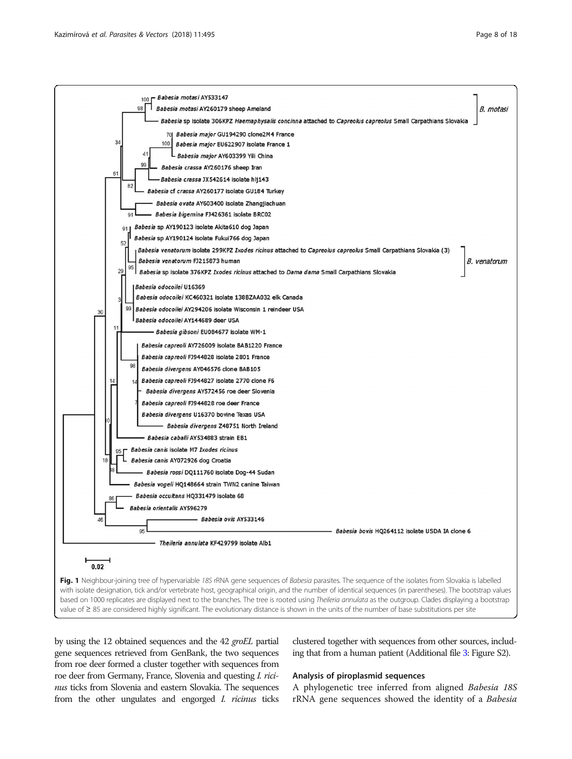<span id="page-7-0"></span>

by using the 12 obtained sequences and the 42 groEL partial gene sequences retrieved from GenBank, the two sequences from roe deer formed a cluster together with sequences from roe deer from Germany, France, Slovenia and questing I. ricinus ticks from Slovenia and eastern Slovakia. The sequences from the other ungulates and engorged I. ricinus ticks clustered together with sequences from other sources, including that from a human patient (Additional file [3:](#page-14-0) Figure S2).

### Analysis of piroplasmid sequences

A phylogenetic tree inferred from aligned Babesia 18S rRNA gene sequences showed the identity of a Babesia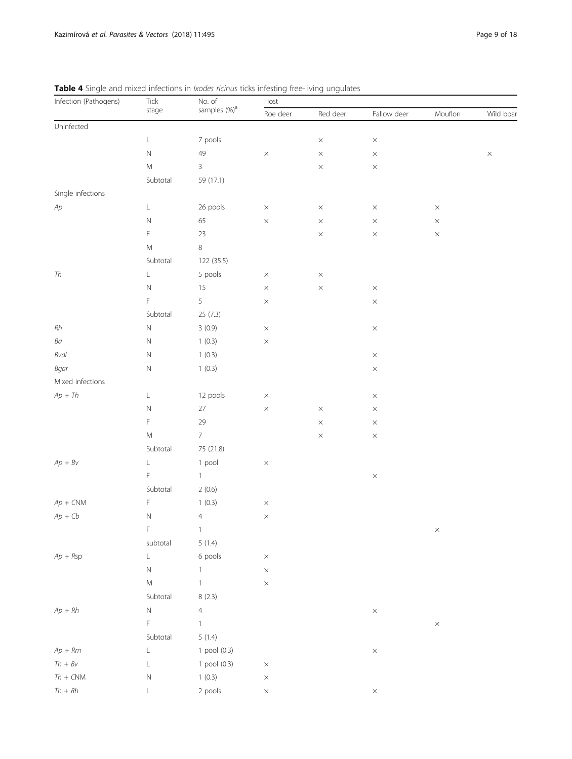| Infection (Pathogens)               | Tick<br>stage | No. of                   | Host     |          |             |          |           |  |
|-------------------------------------|---------------|--------------------------|----------|----------|-------------|----------|-----------|--|
|                                     |               | samples (%) <sup>a</sup> | Roe deer | Red deer | Fallow deer | Mouflon  | Wild boar |  |
| Uninfected                          |               |                          |          |          |             |          |           |  |
|                                     | $\mathsf L$   | 7 pools                  |          | $\times$ | $\times$    |          |           |  |
|                                     | $\hbox{N}$    | 49                       | $\times$ | $\times$ | $\times$    |          | $\times$  |  |
|                                     | ${\sf M}$     | 3                        |          | $\times$ | $\times$    |          |           |  |
|                                     | Subtotal      | 59 (17.1)                |          |          |             |          |           |  |
| Single infections                   |               |                          |          |          |             |          |           |  |
| $A p \,$                            | L             | 26 pools                 | $\times$ | $\times$ | $\times$    | $\times$ |           |  |
|                                     | $\hbox{N}$    | 65                       | $\times$ | $\times$ | $\times$    | $\times$ |           |  |
|                                     | F             | $23\,$                   |          | $\times$ | $\times$    | $\times$ |           |  |
|                                     | ${\sf M}$     | $\,8\,$                  |          |          |             |          |           |  |
|                                     | Subtotal      | 122 (35.5)               |          |          |             |          |           |  |
| ${\it Th}$                          | L             | 5 pools                  | $\times$ | $\times$ |             |          |           |  |
|                                     | $\,N\,$       | 15                       | $\times$ | $\times$ | $\times$    |          |           |  |
|                                     | F             | $\,$ 5 $\,$              | $\times$ |          | $\times$    |          |           |  |
|                                     | Subtotal      | 25 (7.3)                 |          |          |             |          |           |  |
| $R\hspace{-0.9mm}/\hspace{-0.9mm}h$ | $\,N\,$       | 3(0.9)                   | $\times$ |          | $\times$    |          |           |  |
| Ba                                  | $\hbox{N}$    | 1(0.3)                   | $\times$ |          |             |          |           |  |
| Bval                                | $\mathsf N$   | 1(0.3)                   |          |          | $\times$    |          |           |  |
| Bgar                                | $\hbox{N}$    | 1(0.3)                   |          |          | $\times$    |          |           |  |
| Mixed infections                    |               |                          |          |          |             |          |           |  |
| $Ap + Th$                           | L             | 12 pools                 | $\times$ |          | $\times$    |          |           |  |
|                                     | $\,N\,$       | $27\,$                   | $\times$ | $\times$ | $\times$    |          |           |  |
|                                     | F             | 29                       |          | $\times$ | $\times$    |          |           |  |
|                                     | ${\sf M}$     | $\overline{7}$           |          | $\times$ | $\times$    |          |           |  |
|                                     | Subtotal      | 75 (21.8)                |          |          |             |          |           |  |
| $Ap + Bv$                           | L             | 1 pool                   | $\times$ |          |             |          |           |  |
|                                     | F             | $\mathbf{1}$             |          |          | $\times$    |          |           |  |
|                                     | Subtotal      | 2(0.6)                   |          |          |             |          |           |  |
| $Ap + CNM$                          | F             | 1(0.3)                   | $\times$ |          |             |          |           |  |
| $Ap + Cb$                           | $\mathsf N$   | $\overline{4}$           | $\times$ |          |             |          |           |  |
|                                     | F             | $\mathbf{1}$             |          |          |             | $\times$ |           |  |
|                                     | subtotal      | 5(1.4)                   |          |          |             |          |           |  |
| $Ap + Rsp$                          | L             | 6 pools                  | $\times$ |          |             |          |           |  |
|                                     | $\mathbb N$   | $\mathbf{1}$             | $\times$ |          |             |          |           |  |
|                                     | ${\sf M}$     | $\mathbf{1}$             | $\times$ |          |             |          |           |  |
|                                     | Subtotal      | 8(2.3)                   |          |          |             |          |           |  |
| $Ap + Rh$                           | ${\mathsf N}$ | $\overline{4}$           |          |          | $\times$    |          |           |  |
|                                     | F             | $\mathbf{1}$             |          |          |             | $\times$ |           |  |
|                                     | Subtotal      | 5(1.4)                   |          |          |             |          |           |  |
| $Ap + Rm$                           | L             | 1 pool (0.3)             |          |          | $\times$    |          |           |  |
| $Th + Bv$                           | L             | 1 pool (0.3)             | $\times$ |          |             |          |           |  |
| $Th + CNM$                          | $\mathbb N$   | 1(0.3)                   | $\times$ |          |             |          |           |  |
| $Th + Rh$                           | L             | 2 pools                  | $\times$ |          | $\times$    |          |           |  |
|                                     |               |                          |          |          |             |          |           |  |

<span id="page-8-0"></span>

| <b>Table 4</b> Single and mixed infections in <i>kodes ricinus</i> ticks infesting free-living ungulates |  |  |  |
|----------------------------------------------------------------------------------------------------------|--|--|--|
|                                                                                                          |  |  |  |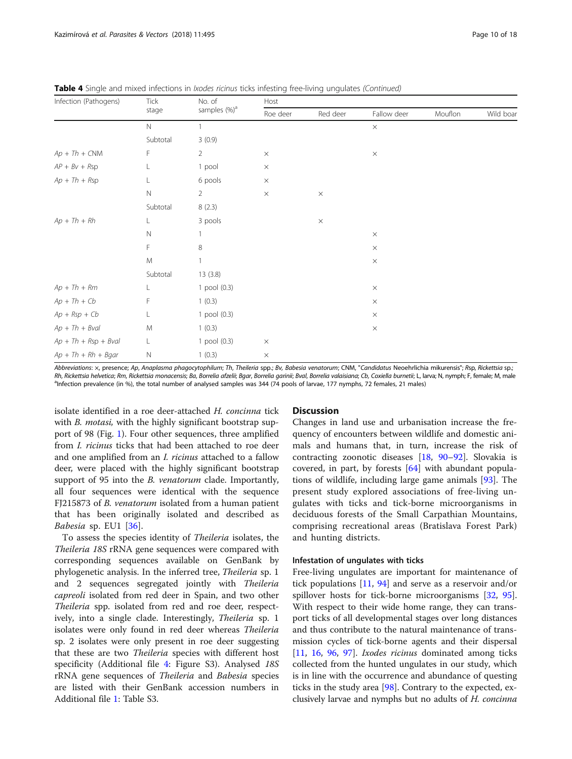| Infection (Pathogens)  | <b>Tick</b>  | No. of                   | Host     |          |             |         |           |  |
|------------------------|--------------|--------------------------|----------|----------|-------------|---------|-----------|--|
|                        | stage        | samples (%) <sup>a</sup> | Roe deer | Red deer | Fallow deer | Mouflon | Wild boar |  |
|                        | $\mathbb N$  |                          |          |          | $\times$    |         |           |  |
|                        | Subtotal     | 3(0.9)                   |          |          |             |         |           |  |
| $Ap + Th + CNM$        | F            | $\overline{2}$           | $\times$ |          | $\times$    |         |           |  |
| $AP + BV + Rsp$        | L            | 1 pool                   | $\times$ |          |             |         |           |  |
| $Ap + Th + Rsp$        | L            | 6 pools                  | $\times$ |          |             |         |           |  |
|                        | $\mathbb N$  | $\overline{2}$           | $\times$ | $\times$ |             |         |           |  |
|                        | Subtotal     | 8(2.3)                   |          |          |             |         |           |  |
| $Ap + Th + Rh$         | L            | 3 pools                  |          | $\times$ |             |         |           |  |
|                        | $\mathsf{N}$ |                          |          |          | $\times$    |         |           |  |
|                        | F            | 8                        |          |          | $\times$    |         |           |  |
|                        | M            |                          |          |          | $\times$    |         |           |  |
|                        | Subtotal     | 13(3.8)                  |          |          |             |         |           |  |
| $Ap + Th + Rm$         | L            | 1 pool (0.3)             |          |          | $\times$    |         |           |  |
| $Ap + Th + Cb$         | F            | 1(0.3)                   |          |          | $\times$    |         |           |  |
| $Ap + Rsp + Cb$        | L            | 1 pool (0.3)             |          |          | $\times$    |         |           |  |
| $Ap + Th + Bval$       | M            | 1(0.3)                   |          |          | $\times$    |         |           |  |
| $Ap + Th + Rsp + Bval$ | L            | 1 pool (0.3)             | $\times$ |          |             |         |           |  |
| $Ap + Th + Rh + Bgar$  | $\hbox{N}$   | 1(0.3)                   | $\times$ |          |             |         |           |  |

Table 4 Single and mixed infections in *Ixodes ricinus* ticks infesting free-living ungulates (Continued)

Abbreviations: ×, presence; Ap, Anaplasma phagocytophilum; Th, Theileria spp.; Bv, Babesia venatorum; CNM, "Candidatus Neoehrlichia mikurensis"; Rsp, Rickettsia sp.; Rh, Rickettsia helvetica; Rm, Rickettsia monacensis; Ba, Borrelia dzelii; Bgar, Borrelia garinii; Bval, Borrelia valaisiana; Cb, Coxiella burnetii; L, larva; N, nymph; F, female; M, male <sup>a</sup>lnfection prevalence (in %), the total number of analysed samples was 344 (74 pools of larvae, 177 nymphs, 72 females, 21 males)

isolate identified in a roe deer-attached H. concinna tick with *B. motasi*, with the highly significant bootstrap support of 98 (Fig. [1\)](#page-7-0). Four other sequences, three amplified from I. ricinus ticks that had been attached to roe deer and one amplified from an I. ricinus attached to a fallow deer, were placed with the highly significant bootstrap support of 95 into the *B. venatorum* clade. Importantly, all four sequences were identical with the sequence FJ215873 of *B. venatorum* isolated from a human patient that has been originally isolated and described as Babesia sp. EU1 [[36\]](#page-15-0).

To assess the species identity of Theileria isolates, the Theileria 18S rRNA gene sequences were compared with corresponding sequences available on GenBank by phylogenetic analysis. In the inferred tree, Theileria sp. 1 and 2 sequences segregated jointly with Theileria capreoli isolated from red deer in Spain, and two other Theileria spp. isolated from red and roe deer, respectively, into a single clade. Interestingly, Theileria sp. 1 isolates were only found in red deer whereas Theileria sp. 2 isolates were only present in roe deer suggesting that these are two Theileria species with different host specificity (Additional file [4:](#page-14-0) Figure S3). Analysed 18S rRNA gene sequences of Theileria and Babesia species are listed with their GenBank accession numbers in Additional file [1](#page-14-0): Table S3.

### **Discussion**

Changes in land use and urbanisation increase the frequency of encounters between wildlife and domestic animals and humans that, in turn, increase the risk of contracting zoonotic diseases [[18,](#page-14-0) [90](#page-16-0)–[92](#page-16-0)]. Slovakia is covered, in part, by forests [\[64](#page-15-0)] with abundant populations of wildlife, including large game animals [[93\]](#page-16-0). The present study explored associations of free-living ungulates with ticks and tick-borne microorganisms in deciduous forests of the Small Carpathian Mountains, comprising recreational areas (Bratislava Forest Park) and hunting districts.

### Infestation of ungulates with ticks

Free-living ungulates are important for maintenance of tick populations [[11](#page-14-0), [94\]](#page-16-0) and serve as a reservoir and/or spillover hosts for tick-borne microorganisms [[32,](#page-15-0) [95](#page-16-0)]. With respect to their wide home range, they can transport ticks of all developmental stages over long distances and thus contribute to the natural maintenance of transmission cycles of tick-borne agents and their dispersal [[11,](#page-14-0) [16](#page-14-0), [96,](#page-16-0) [97](#page-16-0)]. Ixodes ricinus dominated among ticks collected from the hunted ungulates in our study, which is in line with the occurrence and abundance of questing ticks in the study area [[98\]](#page-16-0). Contrary to the expected, exclusively larvae and nymphs but no adults of H. concinna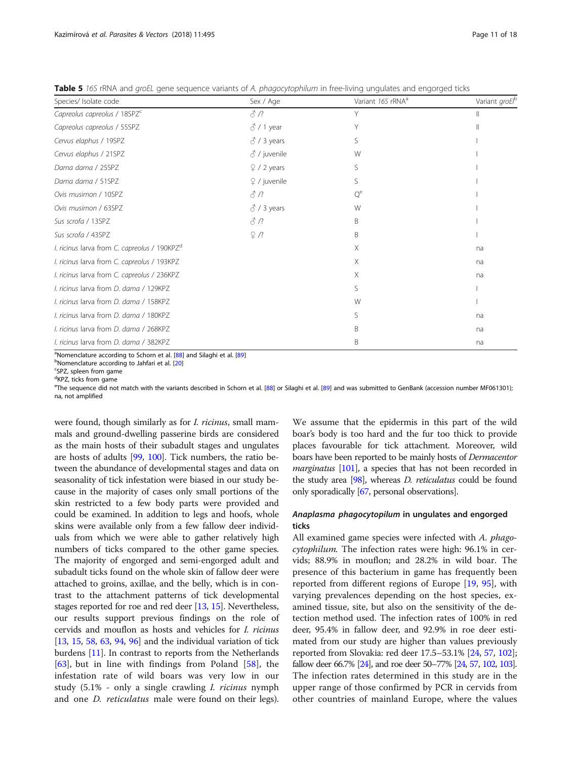| Species/ Isolate code                                    | Sex / Age             | Variant 16S rRNA <sup>a</sup> | Variant groEl <sup>b</sup> |
|----------------------------------------------------------|-----------------------|-------------------------------|----------------------------|
| Capreolus capreolus / 18SPZ <sup>c</sup>                 | 8 P.                  | Υ                             |                            |
| Capreolus capreolus / 55SPZ                              | $3/1$ year            |                               |                            |
| Cervus elaphus / 19SPZ                                   | $\delta$ / 3 years    | ς                             |                            |
| Cervus elaphus / 21SPZ                                   | $\delta$ / juvenile   | W                             |                            |
| Dama dama / 25SPZ                                        | $2 / 2$ years         | S.                            |                            |
| Dama dama / 51SPZ                                        | $\sqrt{2}$ / juvenile | ς                             |                            |
| Ovis musimon / 10SPZ                                     | 3 P.                  | $O^e$                         |                            |
| Ovis musimon / 63SPZ                                     | $\delta$ / 3 years    | W                             |                            |
| Sus scrofa / 13SPZ                                       | $\beta$ /?            | B                             |                            |
| Sus scrofa / 43SPZ                                       | Q/?                   | B                             |                            |
| I. ricinus larva from C. capreolus / 190KPZ <sup>d</sup> |                       | X                             | na                         |
| I. ricinus larva from C. capreolus / 193KPZ              |                       | X                             | na                         |
| I. ricinus larva from C. capreolus / 236KPZ              |                       | X                             | na                         |
| I. ricinus larva from D. dama / 129KPZ                   |                       | S                             |                            |
| I. ricinus larva from D. dama / 158KPZ                   | W                     |                               |                            |
| I. ricinus larva from D. dama / 180KPZ                   | S                     | na                            |                            |
| I. ricinus larva from D. dama / 268KPZ                   | B                     | na                            |                            |
| I. ricinus larva from D. dama / 382KPZ                   |                       | B                             | na                         |

<span id="page-10-0"></span>Table 5 16S rRNA and groEL gene sequence variants of A. phagocytophilum in free-living ungulates and engorged ticks

<sup>a</sup>Nomenclature according to Schorn et al. [[88](#page-16-0)] and Silaghi et al. [\[89](#page-16-0)]<br><sup>b</sup>Nomenclature according to Jabfari et al. [20]

<sup>b</sup>Nomenclature according to Jahfari et al. [\[20](#page-15-0)]

SPZ, spleen from game

<sup>d</sup>KPZ, ticks from game

e The sequence did not match with the variants described in Schorn et al. [\[88](#page-16-0)] or Silaghi et al. [\[89\]](#page-16-0) and was submitted to GenBank (accession number MF061301); na, not amplified

were found, though similarly as for *I. ricinus*, small mammals and ground-dwelling passerine birds are considered as the main hosts of their subadult stages and ungulates are hosts of adults [[99](#page-16-0), [100](#page-16-0)]. Tick numbers, the ratio between the abundance of developmental stages and data on seasonality of tick infestation were biased in our study because in the majority of cases only small portions of the skin restricted to a few body parts were provided and could be examined. In addition to legs and hoofs, whole skins were available only from a few fallow deer individuals from which we were able to gather relatively high numbers of ticks compared to the other game species. The majority of engorged and semi-engorged adult and subadult ticks found on the whole skin of fallow deer were attached to groins, axillae, and the belly, which is in contrast to the attachment patterns of tick developmental stages reported for roe and red deer [[13](#page-14-0), [15\]](#page-14-0). Nevertheless, our results support previous findings on the role of cervids and mouflon as hosts and vehicles for I. ricinus [[13](#page-14-0), [15](#page-14-0), [58](#page-15-0), [63](#page-15-0), [94](#page-16-0), [96\]](#page-16-0) and the individual variation of tick burdens [\[11\]](#page-14-0). In contrast to reports from the Netherlands [[63](#page-15-0)], but in line with findings from Poland [[58\]](#page-15-0), the infestation rate of wild boars was very low in our study (5.1% - only a single crawling I. ricinus nymph and one *D. reticulatus* male were found on their legs).

We assume that the epidermis in this part of the wild boar's body is too hard and the fur too thick to provide places favourable for tick attachment. Moreover, wild boars have been reported to be mainly hosts of Dermacentor *marginatus*  $[101]$  $[101]$ , a species that has not been recorded in the study area [\[98](#page-16-0)], whereas *D. reticulatus* could be found only sporadically [\[67](#page-15-0), personal observations].

# Anaplasma phagocytopilum in ungulates and engorged ticks

All examined game species were infected with A. phagocytophilum. The infection rates were high: 96.1% in cervids; 88.9% in mouflon; and 28.2% in wild boar. The presence of this bacterium in game has frequently been reported from different regions of Europe [\[19](#page-14-0), [95\]](#page-16-0), with varying prevalences depending on the host species, examined tissue, site, but also on the sensitivity of the detection method used. The infection rates of 100% in red deer, 95.4% in fallow deer, and 92.9% in roe deer estimated from our study are higher than values previously reported from Slovakia: red deer 17.5–53.1% [[24](#page-15-0), [57,](#page-15-0) [102](#page-16-0)]; fallow deer 66.7% [\[24\]](#page-15-0), and roe deer 50–77% [\[24,](#page-15-0) [57](#page-15-0), [102,](#page-16-0) [103\]](#page-16-0). The infection rates determined in this study are in the upper range of those confirmed by PCR in cervids from other countries of mainland Europe, where the values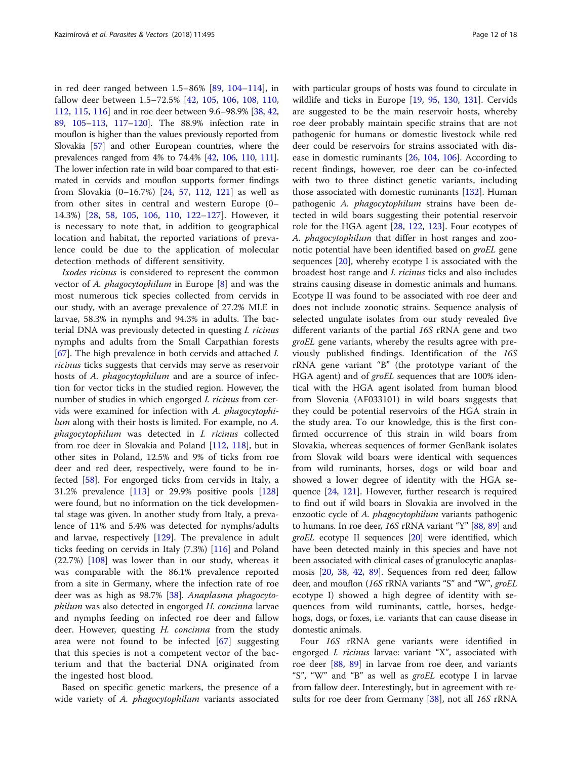in red deer ranged between 1.5–86% [[89,](#page-16-0) [104](#page-16-0)–[114](#page-17-0)], in fallow deer between 1.5–72.5% [[42,](#page-15-0) [105,](#page-16-0) [106,](#page-16-0) [108](#page-16-0), [110](#page-16-0), [112,](#page-16-0) [115,](#page-17-0) [116](#page-17-0)] and in roe deer between 9.6–98.9% [\[38,](#page-15-0) [42](#page-15-0), [89](#page-16-0), [105](#page-16-0)–[113,](#page-17-0) [117](#page-17-0)–[120\]](#page-17-0). The 88.9% infection rate in mouflon is higher than the values previously reported from Slovakia [\[57\]](#page-15-0) and other European countries, where the prevalences ranged from 4% to 74.4% [\[42](#page-15-0), [106](#page-16-0), [110](#page-16-0), [111](#page-16-0)]. The lower infection rate in wild boar compared to that estimated in cervids and mouflon supports former findings from Slovakia (0–16.7%) [[24,](#page-15-0) [57](#page-15-0), [112](#page-16-0), [121](#page-17-0)] as well as from other sites in central and western Europe (0– 14.3%) [[28,](#page-15-0) [58,](#page-15-0) [105](#page-16-0), [106,](#page-16-0) [110,](#page-16-0) [122](#page-17-0)–[127](#page-17-0)]. However, it is necessary to note that, in addition to geographical location and habitat, the reported variations of prevalence could be due to the application of molecular detection methods of different sensitivity.

Ixodes ricinus is considered to represent the common vector of A. phagocytophilum in Europe [\[8](#page-14-0)] and was the most numerous tick species collected from cervids in our study, with an average prevalence of 27.2% MLE in larvae, 58.3% in nymphs and 94.3% in adults. The bacterial DNA was previously detected in questing I. ricinus nymphs and adults from the Small Carpathian forests [[67\]](#page-15-0). The high prevalence in both cervids and attached I. ricinus ticks suggests that cervids may serve as reservoir hosts of A. *phagocytophilum* and are a source of infection for vector ticks in the studied region. However, the number of studies in which engorged *I. ricinus* from cervids were examined for infection with A. phagocytophilum along with their hosts is limited. For example, no A. phagocytophilum was detected in I. ricinus collected from roe deer in Slovakia and Poland [[112,](#page-16-0) [118](#page-17-0)], but in other sites in Poland, 12.5% and 9% of ticks from roe deer and red deer, respectively, were found to be infected [[58\]](#page-15-0). For engorged ticks from cervids in Italy, a 31.2% prevalence [\[113\]](#page-17-0) or 29.9% positive pools [[128](#page-17-0)] were found, but no information on the tick developmental stage was given. In another study from Italy, a prevalence of 11% and 5.4% was detected for nymphs/adults and larvae, respectively [\[129\]](#page-17-0). The prevalence in adult ticks feeding on cervids in Italy (7.3%) [[116](#page-17-0)] and Poland (22.7%) [[108](#page-16-0)] was lower than in our study, whereas it was comparable with the 86.1% prevalence reported from a site in Germany, where the infection rate of roe deer was as high as 98.7% [\[38](#page-15-0)]. Anaplasma phagocytophilum was also detected in engorged H. concinna larvae and nymphs feeding on infected roe deer and fallow deer. However, questing H. concinna from the study area were not found to be infected [[67\]](#page-15-0) suggesting that this species is not a competent vector of the bacterium and that the bacterial DNA originated from the ingested host blood.

Based on specific genetic markers, the presence of a wide variety of A. *phagocytophilum* variants associated with particular groups of hosts was found to circulate in wildlife and ticks in Europe [[19,](#page-14-0) [95,](#page-16-0) [130,](#page-17-0) [131\]](#page-17-0). Cervids are suggested to be the main reservoir hosts, whereby roe deer probably maintain specific strains that are not pathogenic for humans or domestic livestock while red deer could be reservoirs for strains associated with disease in domestic ruminants [\[26](#page-15-0), [104,](#page-16-0) [106\]](#page-16-0). According to recent findings, however, roe deer can be co-infected with two to three distinct genetic variants, including those associated with domestic ruminants [\[132](#page-17-0)]. Human pathogenic A. phagocytophilum strains have been detected in wild boars suggesting their potential reservoir role for the HGA agent [[28,](#page-15-0) [122,](#page-17-0) [123](#page-17-0)]. Four ecotypes of A. phagocytophilum that differ in host ranges and zoonotic potential have been identified based on groEL gene sequences [\[20](#page-15-0)], whereby ecotype I is associated with the broadest host range and I. ricinus ticks and also includes strains causing disease in domestic animals and humans. Ecotype II was found to be associated with roe deer and does not include zoonotic strains. Sequence analysis of selected ungulate isolates from our study revealed five different variants of the partial 16S rRNA gene and two groEL gene variants, whereby the results agree with previously published findings. Identification of the 16S rRNA gene variant "B" (the prototype variant of the HGA agent) and of groEL sequences that are 100% identical with the HGA agent isolated from human blood from Slovenia (AF033101) in wild boars suggests that they could be potential reservoirs of the HGA strain in the study area. To our knowledge, this is the first confirmed occurrence of this strain in wild boars from Slovakia, whereas sequences of former GenBank isolates from Slovak wild boars were identical with sequences from wild ruminants, horses, dogs or wild boar and showed a lower degree of identity with the HGA sequence [\[24,](#page-15-0) [121\]](#page-17-0). However, further research is required to find out if wild boars in Slovakia are involved in the enzootic cycle of A. *phagocytophilum* variants pathogenic to humans. In roe deer, 16S rRNA variant "Y" [[88](#page-16-0), [89\]](#page-16-0) and groEL ecotype II sequences [\[20\]](#page-15-0) were identified, which have been detected mainly in this species and have not been associated with clinical cases of granulocytic anaplasmosis [\[20](#page-15-0), [38](#page-15-0), [42,](#page-15-0) [89\]](#page-16-0). Sequences from red deer, fallow deer, and mouflon (16S rRNA variants "S" and "W", groEL ecotype I) showed a high degree of identity with sequences from wild ruminants, cattle, horses, hedgehogs, dogs, or foxes, i.e. variants that can cause disease in domestic animals.

Four 16S rRNA gene variants were identified in engorged I. ricinus larvae: variant "X", associated with roe deer [\[88](#page-16-0), [89\]](#page-16-0) in larvae from roe deer, and variants "S", "W" and "B" as well as groEL ecotype I in larvae from fallow deer. Interestingly, but in agreement with re-sults for roe deer from Germany [[38](#page-15-0)], not all 16S rRNA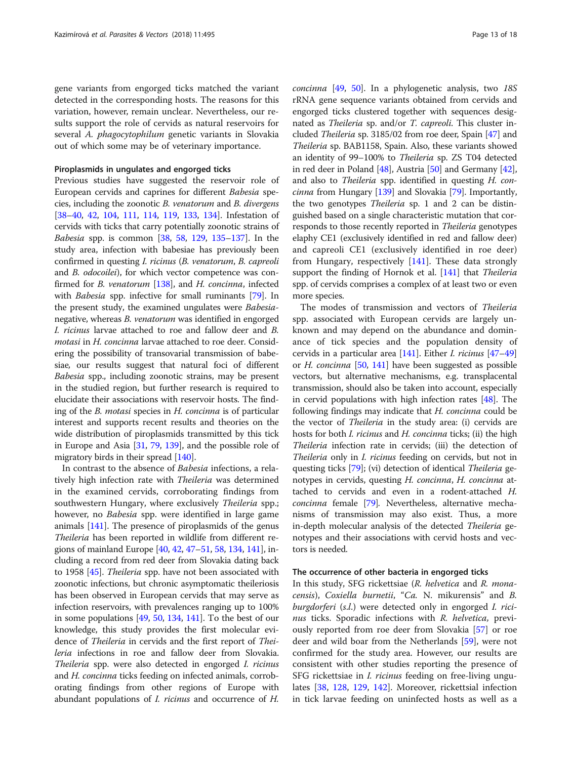gene variants from engorged ticks matched the variant detected in the corresponding hosts. The reasons for this variation, however, remain unclear. Nevertheless, our results support the role of cervids as natural reservoirs for several A. phagocytophilum genetic variants in Slovakia out of which some may be of veterinary importance.

### Piroplasmids in ungulates and engorged ticks

Previous studies have suggested the reservoir role of European cervids and caprines for different Babesia species, including the zoonotic B. venatorum and B. divergens [[38](#page-15-0)–[40,](#page-15-0) [42,](#page-15-0) [104,](#page-16-0) [111,](#page-16-0) [114,](#page-17-0) [119](#page-17-0), [133](#page-17-0), [134](#page-17-0)]. Infestation of cervids with ticks that carry potentially zoonotic strains of Babesia spp. is common [\[38,](#page-15-0) [58,](#page-15-0) [129,](#page-17-0) [135](#page-17-0)–[137](#page-17-0)]. In the study area, infection with babesiae has previously been confirmed in questing I. ricinus (B. venatorum, B. capreoli and B. odocoilei), for which vector competence was confirmed for *B. venatorum* [[138](#page-17-0)], and *H. concinna*, infected with Babesia spp. infective for small ruminants [[79](#page-16-0)]. In the present study, the examined ungulates were Babesianegative, whereas B. venatorum was identified in engorged I. ricinus larvae attached to roe and fallow deer and B. motasi in H. concinna larvae attached to roe deer. Considering the possibility of transovarial transmission of babesiae, our results suggest that natural foci of different Babesia spp., including zoonotic strains, may be present in the studied region, but further research is required to elucidate their associations with reservoir hosts. The finding of the B. motasi species in H. concinna is of particular interest and supports recent results and theories on the wide distribution of piroplasmids transmitted by this tick in Europe and Asia [[31](#page-15-0), [79](#page-16-0), [139](#page-17-0)], and the possible role of migratory birds in their spread [[140](#page-17-0)].

In contrast to the absence of Babesia infections, a relatively high infection rate with Theileria was determined in the examined cervids, corroborating findings from southwestern Hungary, where exclusively Theileria spp.; however, no Babesia spp. were identified in large game animals [[141](#page-17-0)]. The presence of piroplasmids of the genus Theileria has been reported in wildlife from different regions of mainland Europe [\[40,](#page-15-0) [42](#page-15-0), [47](#page-15-0)–[51,](#page-15-0) [58](#page-15-0), [134](#page-17-0), [141](#page-17-0)], including a record from red deer from Slovakia dating back to 1958 [\[45](#page-15-0)]. Theileria spp. have not been associated with zoonotic infections, but chronic asymptomatic theileriosis has been observed in European cervids that may serve as infection reservoirs, with prevalences ranging up to 100% in some populations [[49](#page-15-0), [50](#page-15-0), [134,](#page-17-0) [141](#page-17-0)]. To the best of our knowledge, this study provides the first molecular evidence of Theileria in cervids and the first report of Theileria infections in roe and fallow deer from Slovakia. Theileria spp. were also detected in engorged *I. ricinus* and H. concinna ticks feeding on infected animals, corroborating findings from other regions of Europe with abundant populations of *I. ricinus* and occurrence of *H.*  concinna [\[49,](#page-15-0) [50\]](#page-15-0). In a phylogenetic analysis, two 18S rRNA gene sequence variants obtained from cervids and engorged ticks clustered together with sequences designated as *Theileria* sp. and/or *T. capreoli*. This cluster included Theileria sp. 3185/02 from roe deer, Spain [\[47](#page-15-0)] and Theileria sp. BAB1158, Spain. Also, these variants showed an identity of 99–100% to Theileria sp. ZS T04 detected in red deer in Poland [\[48\]](#page-15-0), Austria [[50](#page-15-0)] and Germany [[42](#page-15-0)], and also to Theileria spp. identified in questing H. concinna from Hungary [[139](#page-17-0)] and Slovakia [\[79\]](#page-16-0). Importantly, the two genotypes Theileria sp. 1 and 2 can be distinguished based on a single characteristic mutation that corresponds to those recently reported in Theileria genotypes elaphy CE1 (exclusively identified in red and fallow deer) and capreoli CE1 (exclusively identified in roe deer) from Hungary, respectively [[141\]](#page-17-0). These data strongly support the finding of Hornok et al. [\[141\]](#page-17-0) that Theileria spp. of cervids comprises a complex of at least two or even more species.

The modes of transmission and vectors of Theileria spp. associated with European cervids are largely unknown and may depend on the abundance and dominance of tick species and the population density of cervids in a particular area  $[141]$  $[141]$  $[141]$ . Either *I. ricinus*  $[47-49]$  $[47-49]$  $[47-49]$  $[47-49]$ or H. concinna [\[50,](#page-15-0) [141\]](#page-17-0) have been suggested as possible vectors, but alternative mechanisms, e.g. transplacental transmission, should also be taken into account, especially in cervid populations with high infection rates [[48\]](#page-15-0). The following findings may indicate that H. concinna could be the vector of Theileria in the study area: (i) cervids are hosts for both *I. ricinus* and *H. concinna* ticks; (ii) the high Theileria infection rate in cervids; (iii) the detection of Theileria only in *I. ricinus* feeding on cervids, but not in questing ticks [[79\]](#page-16-0); (vi) detection of identical Theileria genotypes in cervids, questing H. concinna, H. concinna attached to cervids and even in a rodent-attached H. concinna female [[79](#page-16-0)]. Nevertheless, alternative mechanisms of transmission may also exist. Thus, a more in-depth molecular analysis of the detected Theileria genotypes and their associations with cervid hosts and vectors is needed.

### The occurrence of other bacteria in engorged ticks

In this study, SFG rickettsiae (R. helvetica and R. monacensis), Coxiella burnetii, "Ca. N. mikurensis" and B. burgdorferi (s.l.) were detected only in engorged I. ricinus ticks. Sporadic infections with R. *helvetica*, previously reported from roe deer from Slovakia [[57](#page-15-0)] or roe deer and wild boar from the Netherlands [\[59](#page-15-0)], were not confirmed for the study area. However, our results are consistent with other studies reporting the presence of SFG rickettsiae in *I. ricinus* feeding on free-living ungulates [\[38](#page-15-0), [128](#page-17-0), [129](#page-17-0), [142](#page-17-0)]. Moreover, rickettsial infection in tick larvae feeding on uninfected hosts as well as a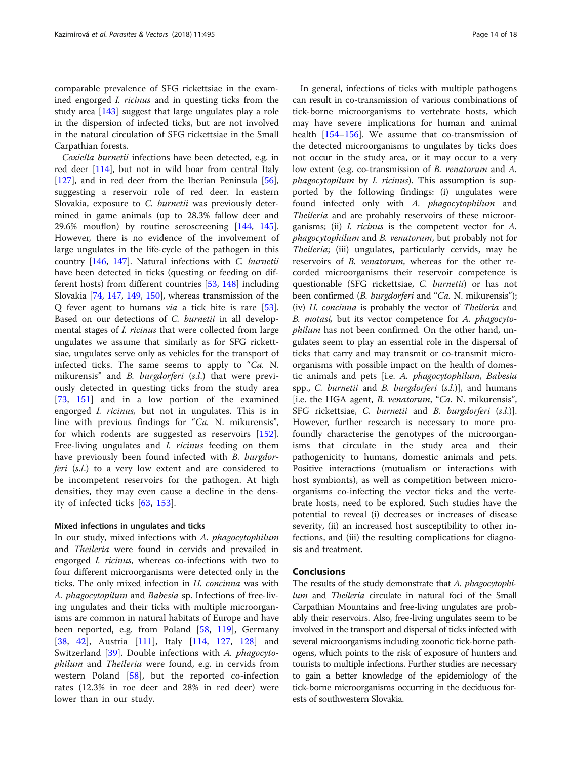comparable prevalence of SFG rickettsiae in the examined engorged I. ricinus and in questing ticks from the study area [[143\]](#page-17-0) suggest that large ungulates play a role in the dispersion of infected ticks, but are not involved in the natural circulation of SFG rickettsiae in the Small Carpathian forests.

Coxiella burnetii infections have been detected, e.g. in red deer [\[114](#page-17-0)], but not in wild boar from central Italy [[127\]](#page-17-0), and in red deer from the Iberian Peninsula [\[56](#page-15-0)], suggesting a reservoir role of red deer. In eastern Slovakia, exposure to C. burnetii was previously determined in game animals (up to 28.3% fallow deer and 29.6% mouflon) by routine seroscreening [\[144](#page-17-0), [145](#page-17-0)]. However, there is no evidence of the involvement of large ungulates in the life-cycle of the pathogen in this country [\[146,](#page-17-0) [147](#page-17-0)]. Natural infections with C. burnetii have been detected in ticks (questing or feeding on different hosts) from different countries [\[53](#page-15-0), [148](#page-17-0)] including Slovakia [[74](#page-16-0), [147](#page-17-0), [149,](#page-17-0) [150\]](#page-17-0), whereas transmission of the Q fever agent to humans via a tick bite is rare [\[53](#page-15-0)]. Based on our detections of C. burnetii in all developmental stages of I. ricinus that were collected from large ungulates we assume that similarly as for SFG rickettsiae, ungulates serve only as vehicles for the transport of infected ticks. The same seems to apply to " $Ca$ . N. mikurensis" and *B. burgdorferi* (s.l.) that were previously detected in questing ticks from the study area [[73,](#page-16-0) [151](#page-17-0)] and in a low portion of the examined engorged I. ricinus, but not in ungulates. This is in line with previous findings for "Ca. N. mikurensis", for which rodents are suggested as reservoirs [\[152](#page-17-0)]. Free-living ungulates and *I. ricinus* feeding on them have previously been found infected with B. burgdorferi (s.l.) to a very low extent and are considered to be incompetent reservoirs for the pathogen. At high densities, they may even cause a decline in the density of infected ticks [[63,](#page-15-0) [153\]](#page-17-0).

### Mixed infections in ungulates and ticks

In our study, mixed infections with A. phagocytophilum and Theileria were found in cervids and prevailed in engorged I. ricinus, whereas co-infections with two to four different microorganisms were detected only in the ticks. The only mixed infection in H. concinna was with A. phagocytopilum and Babesia sp. Infections of free-living ungulates and their ticks with multiple microorganisms are common in natural habitats of Europe and have been reported, e.g. from Poland [[58,](#page-15-0) [119\]](#page-17-0), Germany [[38,](#page-15-0) [42\]](#page-15-0), Austria [[111\]](#page-16-0), Italy [\[114](#page-17-0), [127](#page-17-0), [128\]](#page-17-0) and Switzerland [[39\]](#page-15-0). Double infections with A. phagocytophilum and Theileria were found, e.g. in cervids from western Poland [[58\]](#page-15-0), but the reported co-infection rates (12.3% in roe deer and 28% in red deer) were lower than in our study.

In general, infections of ticks with multiple pathogens can result in co-transmission of various combinations of tick-borne microorganisms to vertebrate hosts, which may have severe implications for human and animal health [\[154](#page-17-0)–[156\]](#page-17-0). We assume that co-transmission of the detected microorganisms to ungulates by ticks does not occur in the study area, or it may occur to a very low extent (e.g. co-transmission of B. venatorum and A. phagocytopilum by *I. ricinus*). This assumption is supported by the following findings: (i) ungulates were found infected only with A. phagocytophilum and Theileria and are probably reservoirs of these microorganisms; (ii) *I. ricinus* is the competent vector for *A*. phagocytophilum and B. venatorum, but probably not for Theileria; (iii) ungulates, particularly cervids, may be reservoirs of B. venatorum, whereas for the other recorded microorganisms their reservoir competence is questionable (SFG rickettsiae, C. burnetii) or has not been confirmed (B. burgdorferi and "Ca. N. mikurensis"); (iv) H. concinna is probably the vector of Theileria and B. motasi, but its vector competence for A. phagocytophilum has not been confirmed. On the other hand, ungulates seem to play an essential role in the dispersal of ticks that carry and may transmit or co-transmit microorganisms with possible impact on the health of domestic animals and pets [i.e. A. phagocytophilum, Babesia spp., C. burnetii and B. burgdorferi (s.l.), and humans [i.e. the HGA agent,  $B$ . venatorum, "Ca. N. mikurensis", SFG rickettsiae, C. burnetii and B. burgdorferi (s.l.). However, further research is necessary to more profoundly characterise the genotypes of the microorganisms that circulate in the study area and their pathogenicity to humans, domestic animals and pets. Positive interactions (mutualism or interactions with host symbionts), as well as competition between microorganisms co-infecting the vector ticks and the vertebrate hosts, need to be explored. Such studies have the potential to reveal (i) decreases or increases of disease severity, (ii) an increased host susceptibility to other infections, and (iii) the resulting complications for diagnosis and treatment.

### **Conclusions**

The results of the study demonstrate that A. *phagocytophi*lum and Theileria circulate in natural foci of the Small Carpathian Mountains and free-living ungulates are probably their reservoirs. Also, free-living ungulates seem to be involved in the transport and dispersal of ticks infected with several microorganisms including zoonotic tick-borne pathogens, which points to the risk of exposure of hunters and tourists to multiple infections. Further studies are necessary to gain a better knowledge of the epidemiology of the tick-borne microorganisms occurring in the deciduous forests of southwestern Slovakia.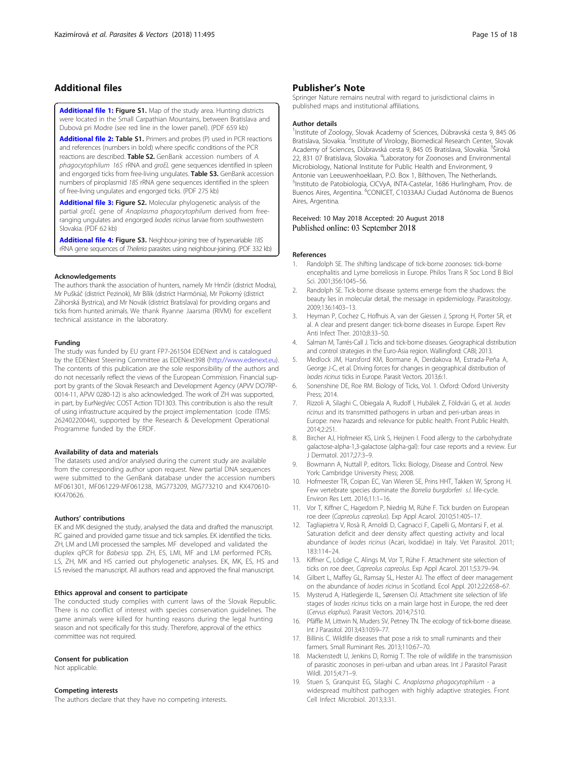# <span id="page-14-0"></span>Additional files

[Additional file 1:](https://doi.org/10.1186/s13071-018-3068-1) Figure S1. Map of the study area. Hunting districts were located in the Small Carpathian Mountains, between Bratislava and Dubová pri Modre (see red line in the lower panel). (PDF 659 kb)

[Additional file 2:](https://doi.org/10.1186/s13071-018-3068-1) Table S1. Primers and probes (P) used in PCR reactions and references (numbers in bold) where specific conditions of the PCR reactions are described. Table S2. GenBank accession numbers of A. phagocytophilum 16S rRNA and groEL gene sequences identified in spleen and engorged ticks from free-living ungulates. Table S3. GenBank accession numbers of piroplasmid 18S rRNA gene sequences identified in the spleen of free-living ungulates and engorged ticks. (PDF 275 kb)

[Additional file 3:](https://doi.org/10.1186/s13071-018-3068-1) Figure S2. Molecular phylogenetic analysis of the partial groEL gene of Anaplasma phagocytophilum derived from freeranging ungulates and engorged Ixodes ricinus larvae from southwestern Slovakia. (PDF 62 kb)

[Additional file 4:](https://doi.org/10.1186/s13071-018-3068-1) Figure S3. Neighbour-joining tree of hypervariable 18S rRNA gene sequences of Theileria parasites using neighbour-joining. (PDF 332 kb)

### Acknowledgements

The authors thank the association of hunters, namely Mr Hrnčír (district Modra), Mr Puškáč (district Pezinok), Mr Bílik (district Harmónia), Mr Pokorný (district Záhorská Bystrica), and Mr Novák (district Bratislava) for providing organs and ticks from hunted animals. We thank Ryanne Jaarsma (RIVM) for excellent technical assistance in the laboratory.

#### Funding

The study was funded by EU grant FP7-261504 EDENext and is catalogued by the EDENext Steering Committee as EDENext398 (<http://www.edenext.eu>). The contents of this publication are the sole responsibility of the authors and do not necessarily reflect the views of the European Commission. Financial support by grants of the Slovak Research and Development Agency (APW DO7RP-0014-11, APVV 0280-12) is also acknowledged. The work of ZH was supported, in part, by EurNegVec COST Action TD1303. This contribution is also the result of using infrastructure acquired by the project implementation (code ITMS: 26240220044), supported by the Research & Development Operational Programme funded by the ERDF.

#### Availability of data and materials

The datasets used and/or analysed during the current study are available from the corresponding author upon request. New partial DNA sequences were submitted to the GenBank database under the accession numbers MF061301, MF061229-MF061238, MG773209, MG773210 and KX470610- KX470626.

#### Authors' contributions

EK and MK designed the study, analysed the data and drafted the manuscript. RC gained and provided game tissue and tick samples. EK identified the ticks. ZH, LM and LMI processed the samples. MF developed and validated the duplex qPCR for Babesia spp. ZH, ES, LMI, MF and LM performed PCRs. LS, ZH, MK and HS carried out phylogenetic analyses. EK, MK, ES, HS and LS revised the manuscript. All authors read and approved the final manuscript.

#### Ethics approval and consent to participate

The conducted study complies with current laws of the Slovak Republic. There is no conflict of interest with species conservation guidelines. The game animals were killed for hunting reasons during the legal hunting season and not specifically for this study. Therefore, approval of the ethics committee was not required.

#### Consent for publication

Not applicable.

### Competing interests

The authors declare that they have no competing interests.

Springer Nature remains neutral with regard to jurisdictional claims in published maps and institutional affiliations.

#### Author details

<sup>1</sup>Institute of Zoology, Slovak Academy of Sciences, Dúbravská cesta 9, 845 06 Bratislava, Slovakia.<sup>2</sup> Institute of Virology, Biomedical Research Center, Slovak Academy of Sciences, Dúbravská cesta 9, 845 05 Bratislava, Slovakia. <sup>3</sup>Široká 22, 831 07 Bratislava, Slovakia. <sup>4</sup>Laboratory for Zoonoses and Environmental Microbiology, National Institute for Public Health and Environment, 9 Antonie van Leeuwenhoeklaan, P.O. Box 1, Bilthoven, The Netherlands. 5 Instituto de Patobiologia, CICVyA, INTA-Castelar, 1686 Hurlingham, Prov. de Buenos Aires, Argentina. <sup>6</sup>CONICET, C1033AAJ Ciudad Autónoma de Buenos Aires, Argentina.

### Received: 10 May 2018 Accepted: 20 August 2018 Published online: 03 September 2018

### References

- 1. Randolph SE. The shifting landscape of tick-borne zoonoses: tick-borne encephalitis and Lyme borreliosis in Europe. Philos Trans R Soc Lond B Biol Sci. 2001;356:1045–56.
- 2. Randolph SE. Tick-borne disease systems emerge from the shadows: the beauty lies in molecular detail, the message in epidemiology. Parasitology. 2009;136:1403–13.
- 3. Heyman P, Cochez C, Hofhuis A, van der Giessen J, Sprong H, Porter SR, et al. A clear and present danger: tick-borne diseases in Europe. Expert Rev Anti Infect Ther. 2010;8:33–50.
- 4. Salman M, Tarrés-Call J. Ticks and tick-borne diseases. Geographical distribution and control strategies in the Euro-Asia region. Wallingford: CABI; 2013.
- 5. Medlock JM, Hansford KM, Bormane A, Derdakova M, Estrada-Peña A, George J-C, et al. Driving forces for changes in geographical distribution of Ixodes ricinus ticks in Europe. Parasit Vectors. 2013;6:1.
- 6. Sonenshine DE, Roe RM. Biology of Ticks, Vol. 1. Oxford: Oxford University Press; 2014.
- 7. Rizzoli A, Silaghi C, Obiegala A, Rudolf I, Hubálek Z, Földvári G, et al. Ixodes ricinus and its transmitted pathogens in urban and peri-urban areas in Europe: new hazards and relevance for public health. Front Public Health. 2014;2:251.
- 8. Bircher AJ, Hofmeier KS, Link S, Heijnen I. Food allergy to the carbohydrate galactose-alpha-1,3-galactose (alpha-gal): four case reports and a review. Eur J Dermatol. 2017;27:3–9.
- 9. Bowmann A, Nuttall P, editors. Ticks: Biology, Disease and Control. New York: Cambridge University Press; 2008.
- 10. Hofmeester TR, Coipan EC, Van Wieren SE, Prins HHT, Takken W, Sprong H. Few vertebrate species dominate the Borrelia burgdorferi s.l. life-cycle. Environ Res Lett. 2016;11:1–16.
- 11. Vor T, Kiffner C, Hagedorn P, Niedrig M, Rühe F. Tick burden on European roe deer (Capreolus capreolus). Exp Appl Acarol. 2010;51:405–17.
- 12. Tagliapietra V, Rosà R, Arnoldi D, Cagnacci F, Capelli G, Montarsi F, et al. Saturation deficit and deer density affect questing activity and local abundance of *Ixodes ricinus* (Acari, Ixodidae) in Italy. Vet Parasitol. 2011; 183:114–24.
- 13. Kiffner C, Lödige C, Alings M, Vor T, Rühe F. Attachment site selection of ticks on roe deer, Capreolus capreolus. Exp Appl Acarol. 2011;53:79–94.
- 14. Gilbert L, Maffey GL, Ramsay SL, Hester AJ. The effect of deer management on the abundance of Ixodes ricinus in Scotland. Ecol Appl. 2012;22:658-67.
- 15. Mysterud A, Hatlegjerde IL, Sørensen OJ. Attachment site selection of life stages of Ixodes ricinus ticks on a main large host in Europe, the red deer (Cervus elaphus). Parasit Vectors. 2014;7:510.
- 16. Pfäffle M, Littwin N, Muders SV, Petney TN. The ecology of tick-borne disease. Int J Parasitol. 2013;43:1059–77.
- 17. Billinis C. Wildlife diseases that pose a risk to small ruminants and their farmers. Small Ruminant Res. 2013;110:67–70.
- 18. Mackenstedt U, Jenkins D, Romig T. The role of wildlife in the transmission of parasitic zoonoses in peri-urban and urban areas. Int J Parasitol Parasit Wildl. 2015;4:71–9.
- 19. Stuen S, Granquist EG, Silaghi C. Anaplasma phagocytophilum a widespread multihost pathogen with highly adaptive strategies. Front Cell Infect Microbiol. 2013;3:31.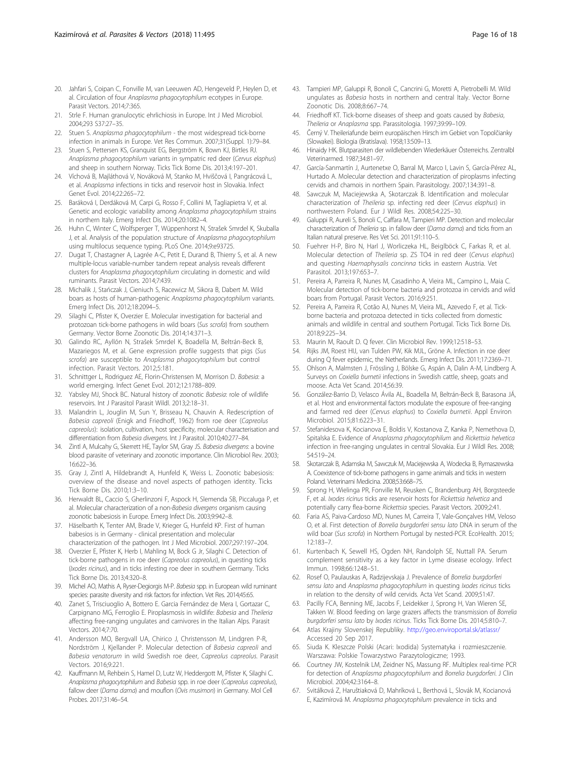- <span id="page-15-0"></span>20. Jahfari S, Coipan C, Fonville M, van Leeuwen AD, Hengeveld P, Heylen D, et al. Circulation of four Anaplasma phagocytophilum ecotypes in Europe. Parasit Vectors. 2014;7:365.
- 21. Strle F. Human granulocytic ehrlichiosis in Europe. Int J Med Microbiol. 2004;293 S37:27–35.
- 22. Stuen S. Anaplasma phagocytophilum the most widespread tick-borne infection in animals in Europe. Vet Res Commun. 2007;31(Suppl. 1):79–84.
- 23. Stuen S, Pettersen KS, Granquist EG, Bergström K, Bown KJ, Birtles RJ. Anaplasma phagocytophilum variants in sympatric red deer (Cervus elaphus) and sheep in southern Norway. Ticks Tick Borne Dis. 2013;4:197–201.
- 24. Víchová B, Majláthová V, Nováková M, Stanko M, Hviščová I, Pangrácová L, et al. Anaplasma infections in ticks and reservoir host in Slovakia. Infect Genet Evol. 2014;22:265–72.
- 25. Baráková I, Derdáková M, Carpi G, Rosso F, Collini M, Tagliapietra V, et al. Genetic and ecologic variability among Anaplasma phagocytophilum strains in northern Italy. Emerg Infect Dis. 2014;20:1082–4.
- 26. Huhn C, Winter C, Wolfsperger T, Wüppenhorst N, Strašek Smrdel K, Skuballa J, et al. Analysis of the population structure of Anaplasma phagocytophilum using multilocus sequence typing. PLoS One. 2014;9:e93725.
- 27. Dugat T, Chastagner A, Lagrée A-C, Petit E, Durand B, Thierry S, et al. A new multiple-locus variable-number tandem repeat analysis reveals different clusters for Anaplasma phagocytophilum circulating in domestic and wild ruminants. Parasit Vectors. 2014;7:439.
- 28. Michalik J, Stańczak J, Cieniuch S, Racewicz M, Sikora B, Dabert M. Wild boars as hosts of human-pathogenic Anaplasma phagocytophilum variants. Emerg Infect Dis. 2012;18:2094–5.
- 29. Silaghi C, Pfister K, Overzier E. Molecular investigation for bacterial and protozoan tick-borne pathogens in wild boars (Sus scrofa) from southern Germany. Vector Borne Zoonotic Dis. 2014;14:371–3.
- 30. Galindo RC, Ayllón N, Strašek Smrdel K, Boadella M, Beltrán-Beck B, Mazariegos M, et al. Gene expression profile suggests that pigs (Sus scrofa) are susceptible to Anaplasma phagocytophilum but control infection. Parasit Vectors. 2012;5:181.
- 31. Schnittger L, Rodriguez AE, Florin-Christensen M, Morrison D. Babesia: a world emerging. Infect Genet Evol. 2012;12:1788–809.
- 32. Yabsley MJ, Shock BC. Natural history of zoonotic Babesia: role of wildlife reservoirs. Int J Parasitol Parasit Wildl. 2013;2:18–31.
- 33. Malandrin L, Jouglin M, Sun Y, Brisseau N, Chauvin A. Redescription of Babesia capreoli (Enigk and Friedhoff, 1962) from roe deer (Capreolus capreolus): isolation, cultivation, host specificity, molecular characterisation and differentiation from Babesia divergens. Int J Parasitol. 2010;40:277–84.
- 34. Zintl A, Mulcahy G, Skerrett HE, Taylor SM, Gray JS. Babesia divergens: a bovine blood parasite of veterinary and zoonotic importance. Clin Microbiol Rev. 2003; 16:622–36.
- 35. Gray J, Zintl A, Hildebrandt A, Hunfeld K, Weiss L. Zoonotic babesiosis: overview of the disease and novel aspects of pathogen identity. Ticks Tick Borne Dis. 2010;1:3–10.
- 36. Herwaldt BL, Caccio S, Gherlinzoni F, Aspock H, Slemenda SB, Piccaluga P, et al. Molecular characterization of a non-Babesia divergens organism causing zoonotic babesiosis in Europe. Emerg Infect Dis. 2003;9:942–8.
- 37. Häselbarth K, Tenter AM, Brade V, Krieger G, Hunfeld KP. First of human babesios is in Germany - clinical presentation and molecular characterization of the pathogen. Int J Med Microbiol. 2007;297:197–204.
- 38. Overzier E, Pfister K, Herb I, Mahling M, Bock G Jr, Silaghi C. Detection of tick-borne pathogens in roe deer (Capreolus capreolus), in questing ticks (Ixodes ricinus), and in ticks infesting roe deer in southern Germany. Ticks Tick Borne Dis. 2013;4:320–8.
- 39. Michel AO, Mathis A, Ryser-Degiorgis M-P. Babesia spp. in European wild ruminant species: parasite diversity and risk factors for infection. Vet Res. 2014;45:65.
- 40. Zanet S, Trisciuoglio A, Bottero E. Garcia Fernández de Mera I, Gortazar C, Carpignano MG, Ferroglio E. Piroplasmosis in wildlife: Babesia and Theileria affecting free-ranging ungulates and carnivores in the Italian Alps. Parasit Vectors. 2014;7:70.
- 41. Andersson MO, Bergvall UA, Chirico J, Christensson M, Lindgren P-R, Nordström J, Kjellander P. Molecular detection of Babesia capreoli and Babesia venatorum in wild Swedish roe deer, Capreolus capreolus. Parasit Vectors. 2016;9:221.
- 42. Kauffmann M, Rehbein S, Hamel D, Lutz W, Heddergott M, Pfister K, Silaghi C. Anaplasma phagocytophilum and Babesia spp. in roe deer (Capreolus capreolus), fallow deer (Dama dama) and mouflon (Ovis musimon) in Germany. Mol Cell Probes. 2017;31:46–54.
- 43. Tampieri MP, Galuppi R, Bonoli C, Cancrini G, Moretti A, Pietrobelli M. Wild ungulates as Babesia hosts in northern and central Italy. Vector Borne Zoonotic Dis. 2008;8:667–74.
- 44. Friedhoff KT. Tick-borne diseases of sheep and goats caused by Babesia, Theileria or Anaplasma spp. Parassitologia. 1997;39:99–109.
- 45. Černý V. Theileriafunde beim europäischen Hirsch im Gebiet von Topolčianky (Slowakei). Biologia (Bratislava). 1958;13:509–13.
- 46. Hinaidy HK. Blutparasiten der wildlebenden Wiederkäuer Österreichs. Zentralbl Veterinarmed. 1987;34:81–97.
- 47. García-Sanmartín J, Aurtenetxe O, Barral M, Marco I, Lavin S, García-Pérez AL, Hurtado A. Molecular detection and characterization of piroplasms infecting cervids and chamois in northern Spain. Parasitology. 2007;134:391–8.
- 48. Sawczuk M, Maciejewska A, Skotarczak B. Identification and molecular characterization of Theileria sp. infecting red deer (Cervus elaphus) in northwestern Poland. Eur J Wildl Res. 2008;54:225–30.
- 49. Galuppi R, Aureli S, Bonoli C, Caffara M, Tampieri MP. Detection and molecular characterization of Theileria sp. in fallow deer (Dama dama) and ticks from an Italian natural preserve. Res Vet Sci. 2011;91:110–5.
- 50. Fuehrer H-P, Biro N, Harl J, Worliczeka HL, Beiglböck C, Farkas R, et al. Molecular detection of Theileria sp. ZS TO4 in red deer (Cervus elaphus) and questing Haemaphysalis concinna ticks in eastern Austria. Vet Parasitol. 2013;197:653–7.
- 51. Pereira A, Parreira R, Nunes M, Casadinho A, Vieira ML, Campino L, Maia C. Molecular detection of tick-borne bacteria and protozoa in cervids and wild boars from Portugal. Parasit Vectors. 2016;9:251.
- 52. Pereira A, Parreira R, Cotão AJ, Nunes M, Vieira ML, Azevedo F, et al. Tickborne bacteria and protozoa detected in ticks collected from domestic animals and wildlife in central and southern Portugal. Ticks Tick Borne Dis. 2018;9:225–34.
- 53. Maurin M, Raoult D. Q fever. Clin Microbiol Rev. 1999;12:518–53.
- 54. Rijks JM, Roest HIJ, van Tulden PW, Kik MJL, Gröne A. Infection in roe deer during Q fever epidemic, the Netherlands. Emerg Infect Dis. 2011;17:2369–71.
- 55. Ohlson A, Malmsten J, Frössling J, Bölske G, Aspán A, Dalin A-M, Lindberg A. Surveys on Coxiella burnetii infections in Swedish cattle, sheep, goats and moose. Acta Vet Scand. 2014;56:39.
- 56. González-Barrio D, Velasco Ávila AL, Boadella M, Beltrán-Beck B, Barasona JÁ, et al. Host and environmental factors modulate the exposure of free-ranging and farmed red deer (Cervus elaphus) to Coxiella burnetii. Appl Environ Microbiol. 2015;81:6223–31.
- 57. Stefanidesova K, Kocianova E, Boldis V, Kostanova Z, Kanka P, Nemethova D, Spitalska E. Evidence of Anaplasma phagocytophilum and Rickettsia helvetica infection in free-ranging ungulates in central Slovakia. Eur J Wildl Res. 2008; 54:519–24.
- 58. Skotarczak B, Adamska M, Sawczuk M, Maciejewska A, Wodecka B, Rymaszewska A. Coexistence of tick-borne pathogens in game animals and ticks in western Poland. Veterinarni Medicina. 2008;53:668–75.
- 59. Sprong H, Wielinga PR, Fonville M, Reusken C, Brandenburg AH, Borgsteede F, et al. Ixodes ricinus ticks are reservoir hosts for Rickettsia helvetica and potentially carry flea-borne Rickettsia species. Parasit Vectors. 2009;2:41.
- 60. Faria AS, Paiva-Cardoso MD, Nunes M, Carreira T, Vale-Gonçalves HM, Veloso O, et al. First detection of Borrelia burgdorferi sensu lato DNA in serum of the wild boar (Sus scrofa) in Northern Portugal by nested-PCR. EcoHealth. 2015; 12:183–7.
- 61. Kurtenbach K, Sewell HS, Ogden NH, Randolph SE, Nuttall PA. Serum complement sensitivity as a key factor in Lyme disease ecology. Infect Immun. 1998;66:1248–51.
- 62. Rosef O, Paulauskas A, Radzijevskaja J. Prevalence of Borrelia burgdorferi sensu lato and Anaplasma phagocytophilum in questing Ixodes ricinus ticks in relation to the density of wild cervids. Acta Vet Scand. 2009;51:47.
- 63. Pacilly FCA, Benning ME, Jacobs F, Leidekker J, Sprong H, Van Wieren SE, Takken W. Blood feeding on large grazers affects the transmission of Borrelia burgdorferi sensu lato by Ixodes ricinus. Ticks Tick Borne Dis. 2014;5:810–7.
- 64. Atlas Krajiny Slovenskej Republiky. <http://geo.enviroportal.sk/atlassr/> Accessed 20 Sep 2017.
- 65. Siuda K. Kleszcze Polski (Acari: Ixodida) Systematyka i rozmieszczenie. Warszawa: Polskie Towarzystwo Parazytologiczne; 1993.
- 66. Courtney JW, Kostelnik LM, Zeidner NS, Massung RF. Multiplex real-time PCR for detection of Anaplasma phagocytophilum and Borrelia burgdorferi. J Clin Microbiol. 2004;42:3164–8.
- 67. Svitálková Z, Haruštiaková D, Mahríková L, Berthová L, Slovák M, Kocianová E, Kazimírová M. Anaplasma phagocytophilum prevalence in ticks and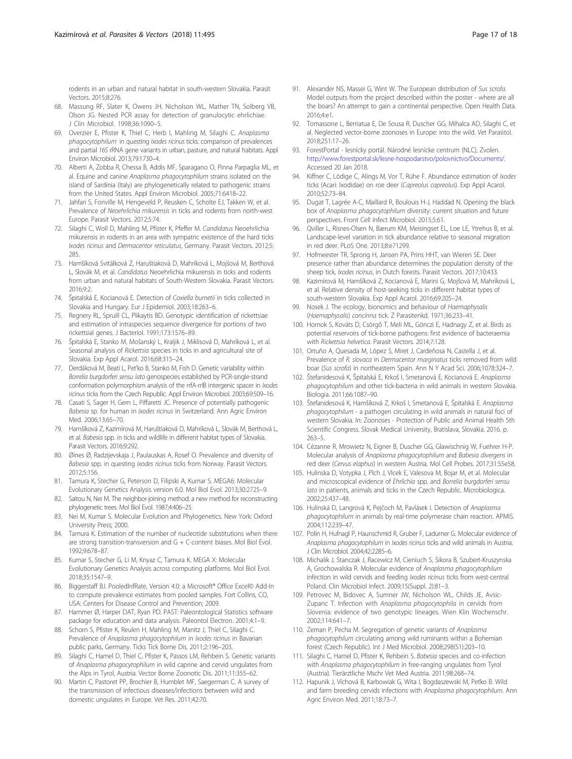<span id="page-16-0"></span>rodents in an urban and natural habitat in south-western Slovakia. Parasit Vectors. 2015;8:276.

- 68. Massung RF, Slater K, Owens JH, Nicholson WL, Mather TN, Solberg VB, Olson JG. Nested PCR assay for detection of granulocytic ehrlichiae. J Clin Microbiol. 1998;36:1090–5.
- 69. Overzier E, Pfister K, Thiel C, Herb I, Mahling M, Silaghi C. Anaplasma phagocytophilum in questing Ixodes ricinus ticks: comparison of prevalences and partial 16S rRNA gene variants in urban, pasture, and natural habitats. Appl Environ Microbiol. 2013;79:1730–4.
- 70. Alberti A, Zobba R, Chessa B, Addis MF, Sparagano O, Pinna Parpaglia ML, et al. Equine and canine Anaplasma phagocytophilum strains isolated on the island of Sardinia (Italy) are phylogenetically related to pathogenic strains from the United States. Appl Environ Microbiol. 2005;71:6418–22.
- 71. Jahfari S, Fonville M, Hengeveld P, Reusken C, Scholte EJ, Takken W, et al. Prevalence of Neoehrlichia mikurensis in ticks and rodents from north-west Europe. Parasit Vectors. 2012;5:74.
- 72. Silaghi C, Woll D, Mahling M, Pfister K, Pfeffer M. Candidatus Neoehrlichia mikurensis in rodents in an area with sympatric existence of the hard ticks Ixodes ricinus and Dermacentor reticulatus, Germany. Parasit Vectors. 2012;5: 285.
- 73. Hamšíková Svitálková Z, Haruštiaková D, Mahríková L, Mojšová M, Berthová L, Slovák M, et al. Candidatus Neoehrlichia mikurensis in ticks and rodents from urban and natural habitats of South-Western Slovakia. Parasit Vectors. 2016;9:2.
- 74. Špitalská E, Kocianová E. Detection of Coxiella burnetii in ticks collected in Slovakia and Hungary. Eur J Epidemiol. 2003;18:263–6.
- 75. Regnery RL, Spruill CL, Plikaytis BD. Genotypic identification of rickettsiae and estimation of intraspecies sequence divergence for portions of two rickettsial genes. J Bacteriol. 1991;173:1576–89.
- 76. Špitalská E, Stanko M, Mošanský L, Kraljik J, Miklisová D, Mahríková L, et al. Seasonal analysis of Rickettsia species in ticks in and agricultural site of Slovakia. Exp Appl Acarol. 2016;68:315–24.
- 77. Derdáková M, Beati L, Pet'ko B, Stanko M, Fish D. Genetic variability within Borrelia burgdorferi sensu lato genospecies established by PCR-single-strand conformation polymorphism analysis of the rrfA-rrlB intergenic spacer in Ixodes ricinus ticks from the Czech Republic. Appl Environ Microbiol. 2003;69:509–16.
- 78. Casati S, Sager H, Gern L, Piffaretti JC. Presence of potentially pathogenic Babesia sp. for human in Ixodes ricinus in Switzerland. Ann Agric Environ Med. 2006;13:65–70.
- 79. Hamšíková Z, Kazimírová M, Haruštiaková D, Mahríková L, Slovák M, Berthová L, et al. Babesia spp. in ticks and wildlife in different habitat types of Slovakia. Parasit Vectors. 2016;9:292.
- 80. Øines Ø, Radzijevskaja J, Paulauskas A, Rosef O. Prevalence and diversity of Babesia spp. in questing Ixodes ricinus ticks from Norway. Parasit Vectors. 2012;5:156.
- 81. Tamura K, Stecher G, Peterson D, Filipski A, Kumar S. MEGA6: Molecular Evolutionary Genetics Analysis version 6.0. Mol Biol Evol. 2013;30:2725–9.
- 82. Saitou N, Nei M. The neighbor-joining method: a new method for reconstructing phylogenetic trees. Mol Biol Evol. 1987;4:406–25.
- 83. Nei M, Kumar S. Molecular Evolution and Phylogenetics. New York: Oxford University Press; 2000.
- 84. Tamura K. Estimation of the number of nucleotide substitutions when there are strong transition-transversion and G + C-content biases. Mol Biol Evol. 1992;9:678–87.
- 85. Kumar S, Stecher G, Li M, Knyaz C, Tamura K. MEGA X: Molecular Evolutionary Genetics Analysis across computing platforms. Mol Biol Evol. 2018;35:1547–9.
- 86. Biggerstaff BJ. PooledInfRate, Version 4.0: a Microsoft® Office Excel© Add-In to compute prevalence estimates from pooled samples. Fort Collins, CO, USA: Centers for Disease Control and Prevention; 2009.
- 87. Hammer Ø, Harper DAT, Ryan PD. PAST: Paleontological Statistics software package for education and data analysis. Paleontol Electron. 2001;4:1–9.
- 88. Schorn S, Pfister K, Reulen H, Mahling M, Manitz J, Thiel C, Silaghi C. Prevalence of Anaplasma phagocytophilum in Ixodes ricinus in Bavarian public parks, Germany. Ticks Tick Borne Dis. 2011;2:196–203.
- 89. Silaghi C, Hamel D, Thiel C, Pfister K, Passos LM, Rehbein S. Genetic variants of Anaplasma phagocytophilum in wild caprine and cervid ungulates from the Alps in Tyrol, Austria. Vector Borne Zoonotic Dis. 2011;11:355–62.
- 90. Martin C, Pastoret PP, Brochier B, Humblet MF, Saegerman C. A survey of the transmission of infectious diseases/infections between wild and domestic ungulates in Europe. Vet Res. 2011;42:70.
- 91. Alexander NS, Massei G, Wint W. The European distribution of Sus scrofa. Model outputs from the project described within the poster - where are all the boars? An attempt to gain a continental perspective. Open Health Data. 2016;4:e1.
- 92. Tomassone L, Berriatua E, De Sousa R, Duscher GG, Mihalca AD, Silaghi C, et al. Neglected vector-borne zoonoses in Europe: into the wild. Vet Parasitol. 2018;251:17–26.
- 93. ForestPortal lesnícky portál. Národné lesnícke centrum (NLC), Zvolen. <http://www.forestportal.sk/lesne-hospodarstvo/polovnictvo/Documents/>. Accessed 20 Jan 2018.
- 94. Kiffner C, Lödige C, Alings M, Vor T, Rühe F. Abundance estimation of Ixodes ticks (Acari: Ixodidae) on roe deer (Capreolus capreolus). Exp Appl Acarol. 2010;52:73–84.
- 95. Dugat T, Lagrée A-C, Maillard R, Boulouis H-J, Haddad N. Opening the black box of Anaplasma phagocytophilum diversity: current situation and future perspectives. Front Cell Infect Microbiol. 2015;5:61.
- 96. Qviller L, Risnes-Olsen N, Bærum KM, Meisingset EL, Loe LE, Ytrehus B, et al. Landscape-level variation in tick abundance relative to seasonal migration in red deer. PLoS One. 2013;8:e71299.
- 97. Hofmeester TR, Sprong H, Jansen PA, Prins HHT, van Wieren SE. Deer presence rather than abundance determines the population density of the sheep tick, Ixodes ricinus, in Dutch forests. Parasit Vectors. 2017;10:433.
- 98. Kazimírová M, Hamšíková Z, Kocianová E, Marini G, Mojšová M, Mahríková L, et al. Relative density of host-seeking ticks in different habitat types of south-western Slovakia. Exp Appl Acarol. 2016;69:205–24.
- 99. Nosek J. The ecology, bionomics and behaviour of Haemaphysalis (Haemaphysalis) concinna tick. Z Parasitenkd. 1971;36:233–41.
- 100. Hornok S, Kováts D, Csörgő T, Meli ML, Gönczi E, Hadnagy Z, et al. Birds as potential reservoirs of tick-borne pathogens: first evidence of bacteraemia with Rickettsia helvetica. Parasit Vectors. 2014;7:128.
- 101. Ortuňo A, Quesada M, López S, Miret J, Cardeňosa N, Castella J, et al. Prevalence of R. slovaca in Dermacentor marginatus ticks removed from wild boar (Sus scrofa) in northeastern Spain. Ann N Y Acad Sci. 2006;1078:324–7.
- 102. Štefanidesová K, Špitalská E, Krkoš I, Smetanová E, Kocianová E. Anaplasma phagocytophilum and other tick-bacteria in wild animals in western Slovakia. Biologia. 2011;66:1087–90.
- 103. Štefanidesová K, Hamšíková Z, Krkoš I, Smetanová E, Špitalská E. Anaplasma phagocytophilum - a pathogen circulating in wild animals in natural foci of western Slovakia. In: Zoonoses - Protection of Public and Animal Health 5th Scientific Congress. Slovak Medical University, Bratislava, Slovakia. 2016. p. 263–5.
- 104. Cézanne R, Mrowietz N, Eigner B, Duscher GG, Glawischnig W, Fuehrer H-P. Molecular analysis of Anaplasma phagocytophilum and Babesia divergens in red deer (Cervus elaphus) in western Austria. Mol Cell Probes. 2017;31:55e58.
- 105. Hulinska D, Votypka J, Plch J, Vlcek E, Valesova M, Bojar M, et al. Molecular and microscopical evidence of Ehrlichia spp. and Borrelia burgdorferi sensu lato in patients, animals and ticks in the Czech Republic. Microbiologica. 2002;25:437–48.
- 106. Hulínská D, Langrová K, Pejčoch M, Pavlásek I. Detection of Anaplasma phagocytophilum in animals by real-time polymerase chain reaction. APMIS. 2004;112:239–47.
- 107. Polin H, Hufnagl P, Haunschmid R, Gruber F, Ladurner G. Molecular evidence of Anaplasma phagocytophilum in Ixodes ricinus ticks and wild animals in Austria. J Clin Microbiol. 2004;42:2285–6.
- 108. Michalik J, Stanczak J, Racewicz M, Cieniuch S, Sikora B, Szubert-Kruszynska A, Grochowalska R. Molecular evidence of Anaplasma phagocytophilum infection in wild cervids and feeding Ixodes ricinus ticks from west-central Poland. Clin Microbiol Infect. 2009;15(Suppl. 2):81–3.
- 109. Petrovec M, Bidovec A, Sumner JW, Nicholson WL, Childs JE, Avsic-Zupanc T. Infection with Anaplasma phagocytophila in cervids from Slovenia: evidence of two genotypic lineages. Wien Klin Wochenschr. 2002;114:641–7.
- 110. Zeman P, Pecha M. Segregation of genetic variants of Anaplasma phagocytophilum circulating among wild ruminants within a Bohemian forest (Czech Republic). Int J Med Microbiol. 2008;298(S1):203–10.
- 111. Silaghi C, Hamel D, Pfister K, Rehbein S. Babesia species and co-infection with Anaplasma phagocytophilum in free-ranging ungulates from Tyrol (Austria). Tierärztliche Mschr Vet Med Austria. 2011;98:268–74.
- 112. Hapunik J, Víchová B, Karbowiak G, Wita I, Bogdaszewski M, Peťko B. Wild and farm breeding cervids infections with Anaplasma phagocytophilum. Ann Agric Environ Med. 2011;18:73–7.